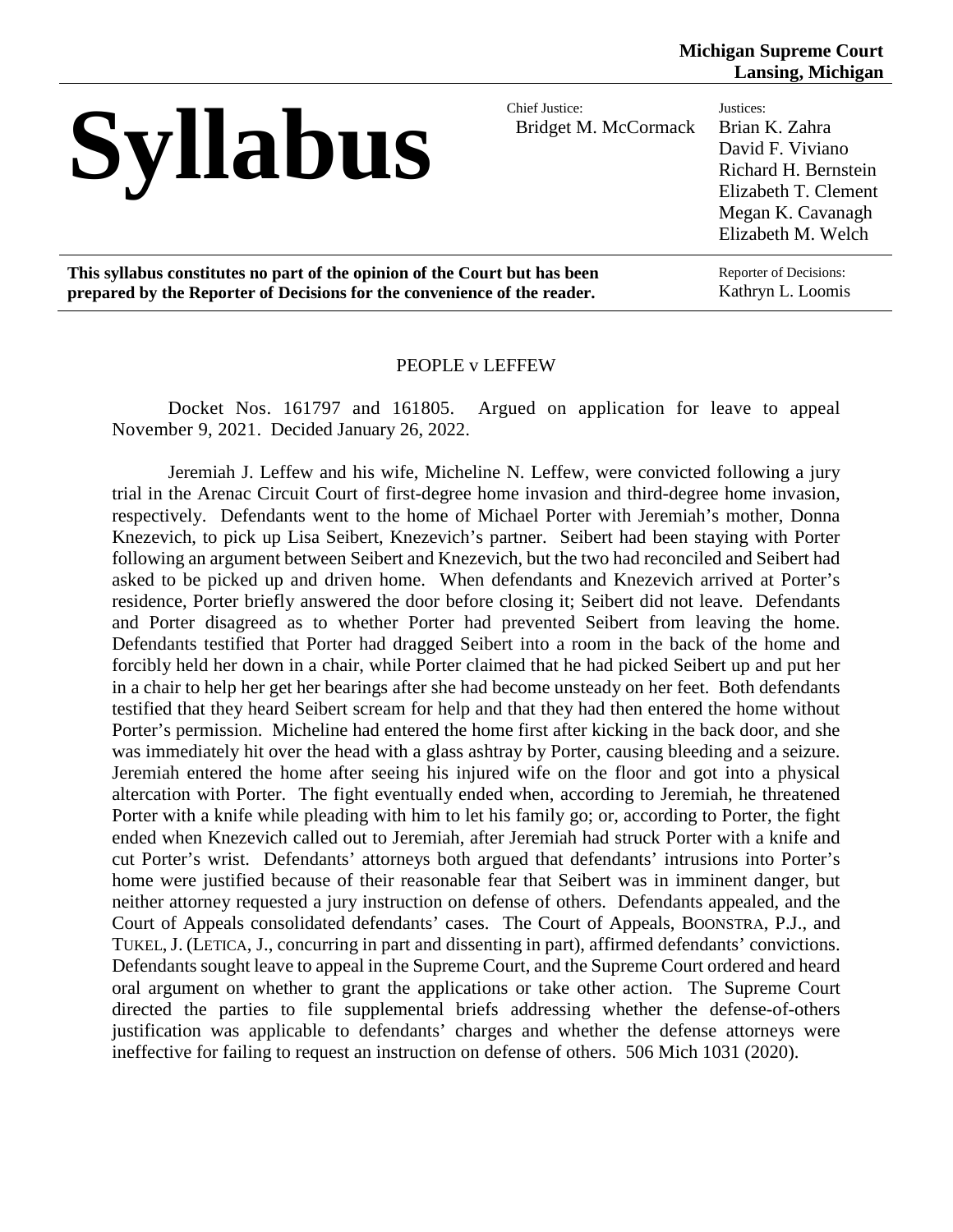## Syllabus

Bridget M. McCormack

## Justices: Brian K. Zahra David F. Viviano Richard H. Bernstein Elizabeth T. Clement Megan K. Cavanagh Elizabeth M. Welch

**This syllabus constitutes no part of the opinion of the Court but has been prepared by the Reporter of Decisions for the convenience of the reader.**

Reporter of Decisions: Kathryn L. Loomis

#### PEOPLE v LEFFEW

Docket Nos. 161797 and 161805. Argued on application for leave to appeal November 9, 2021. Decided January 26, 2022.

Jeremiah J. Leffew and his wife, Micheline N. Leffew, were convicted following a jury trial in the Arenac Circuit Court of first-degree home invasion and third-degree home invasion, respectively. Defendants went to the home of Michael Porter with Jeremiah's mother, Donna Knezevich, to pick up Lisa Seibert, Knezevich's partner. Seibert had been staying with Porter following an argument between Seibert and Knezevich, but the two had reconciled and Seibert had asked to be picked up and driven home. When defendants and Knezevich arrived at Porter's residence, Porter briefly answered the door before closing it; Seibert did not leave. Defendants and Porter disagreed as to whether Porter had prevented Seibert from leaving the home. Defendants testified that Porter had dragged Seibert into a room in the back of the home and forcibly held her down in a chair, while Porter claimed that he had picked Seibert up and put her in a chair to help her get her bearings after she had become unsteady on her feet. Both defendants testified that they heard Seibert scream for help and that they had then entered the home without Porter's permission. Micheline had entered the home first after kicking in the back door, and she was immediately hit over the head with a glass ashtray by Porter, causing bleeding and a seizure. Jeremiah entered the home after seeing his injured wife on the floor and got into a physical altercation with Porter. The fight eventually ended when, according to Jeremiah, he threatened Porter with a knife while pleading with him to let his family go; or, according to Porter, the fight ended when Knezevich called out to Jeremiah, after Jeremiah had struck Porter with a knife and cut Porter's wrist. Defendants' attorneys both argued that defendants' intrusions into Porter's home were justified because of their reasonable fear that Seibert was in imminent danger, but neither attorney requested a jury instruction on defense of others. Defendants appealed, and the Court of Appeals consolidated defendants' cases. The Court of Appeals, BOONSTRA, P.J., and TUKEL,J. (LETICA, J., concurring in part and dissenting in part), affirmed defendants' convictions. Defendants sought leave to appeal in the Supreme Court, and the Supreme Court ordered and heard oral argument on whether to grant the applications or take other action. The Supreme Court directed the parties to file supplemental briefs addressing whether the defense-of-others justification was applicable to defendants' charges and whether the defense attorneys were ineffective for failing to request an instruction on defense of others. 506 Mich 1031 (2020).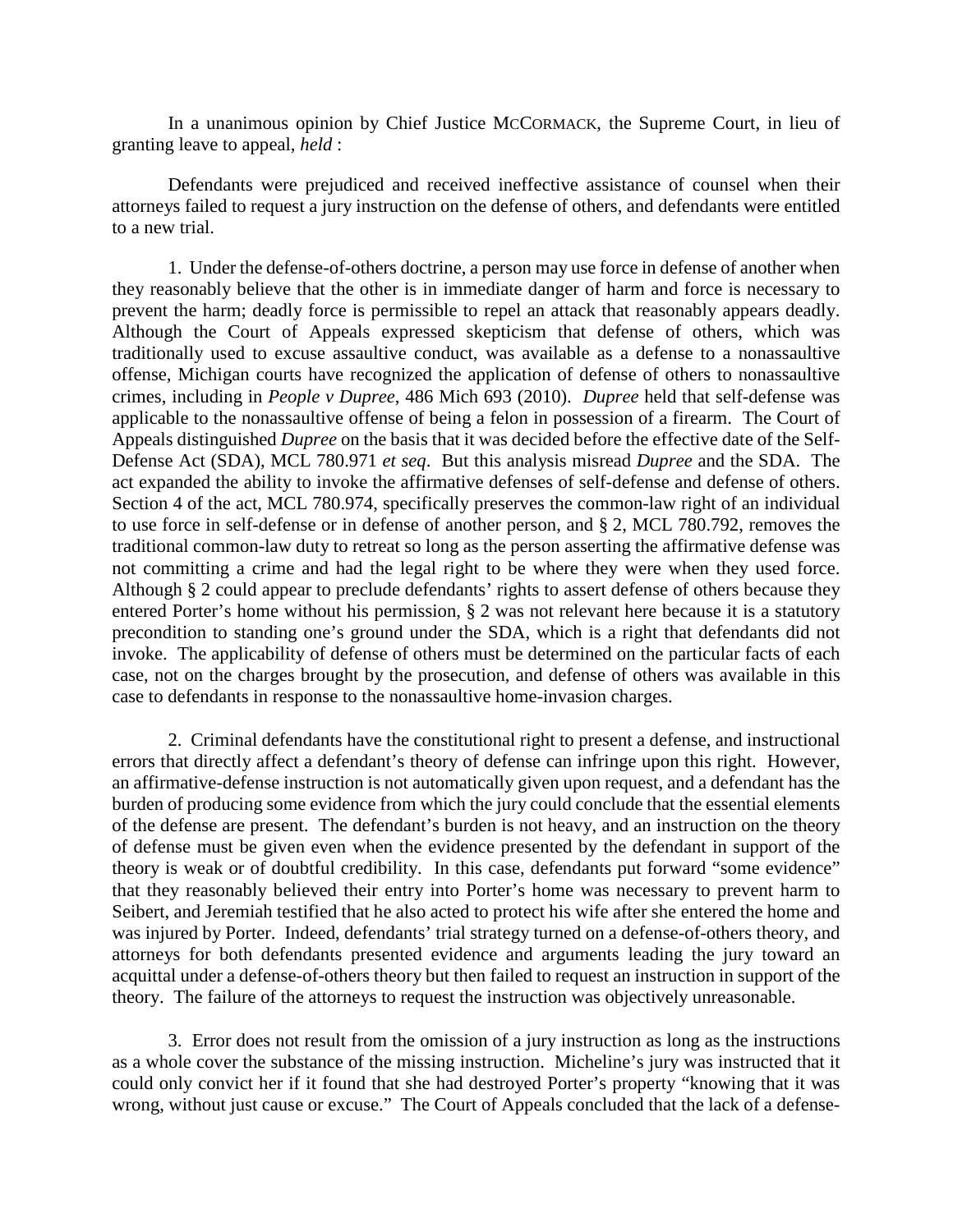In a unanimous opinion by Chief Justice MCCORMACK, the Supreme Court, in lieu of granting leave to appeal, *held* :

Defendants were prejudiced and received ineffective assistance of counsel when their attorneys failed to request a jury instruction on the defense of others, and defendants were entitled to a new trial.

1. Under the defense-of-others doctrine, a person may use force in defense of another when they reasonably believe that the other is in immediate danger of harm and force is necessary to prevent the harm; deadly force is permissible to repel an attack that reasonably appears deadly. Although the Court of Appeals expressed skepticism that defense of others, which was traditionally used to excuse assaultive conduct, was available as a defense to a nonassaultive offense, Michigan courts have recognized the application of defense of others to nonassaultive crimes, including in *People v Dupree*, 486 Mich 693 (2010). *Dupree* held that self-defense was applicable to the nonassaultive offense of being a felon in possession of a firearm. The Court of Appeals distinguished *Dupree* on the basis that it was decided before the effective date of the Self-Defense Act (SDA), MCL 780.971 *et seq*. But this analysis misread *Dupree* and the SDA. The act expanded the ability to invoke the affirmative defenses of self-defense and defense of others. Section 4 of the act, MCL 780.974, specifically preserves the common-law right of an individual to use force in self-defense or in defense of another person, and § 2, MCL 780.792, removes the traditional common-law duty to retreat so long as the person asserting the affirmative defense was not committing a crime and had the legal right to be where they were when they used force. Although § 2 could appear to preclude defendants' rights to assert defense of others because they entered Porter's home without his permission, § 2 was not relevant here because it is a statutory precondition to standing one's ground under the SDA, which is a right that defendants did not invoke. The applicability of defense of others must be determined on the particular facts of each case, not on the charges brought by the prosecution, and defense of others was available in this case to defendants in response to the nonassaultive home-invasion charges.

2. Criminal defendants have the constitutional right to present a defense, and instructional errors that directly affect a defendant's theory of defense can infringe upon this right. However, an affirmative-defense instruction is not automatically given upon request, and a defendant has the burden of producing some evidence from which the jury could conclude that the essential elements of the defense are present. The defendant's burden is not heavy, and an instruction on the theory of defense must be given even when the evidence presented by the defendant in support of the theory is weak or of doubtful credibility. In this case, defendants put forward "some evidence" that they reasonably believed their entry into Porter's home was necessary to prevent harm to Seibert, and Jeremiah testified that he also acted to protect his wife after she entered the home and was injured by Porter. Indeed, defendants' trial strategy turned on a defense-of-others theory, and attorneys for both defendants presented evidence and arguments leading the jury toward an acquittal under a defense-of-others theory but then failed to request an instruction in support of the theory. The failure of the attorneys to request the instruction was objectively unreasonable.

3. Error does not result from the omission of a jury instruction as long as the instructions as a whole cover the substance of the missing instruction. Micheline's jury was instructed that it could only convict her if it found that she had destroyed Porter's property "knowing that it was wrong, without just cause or excuse." The Court of Appeals concluded that the lack of a defense-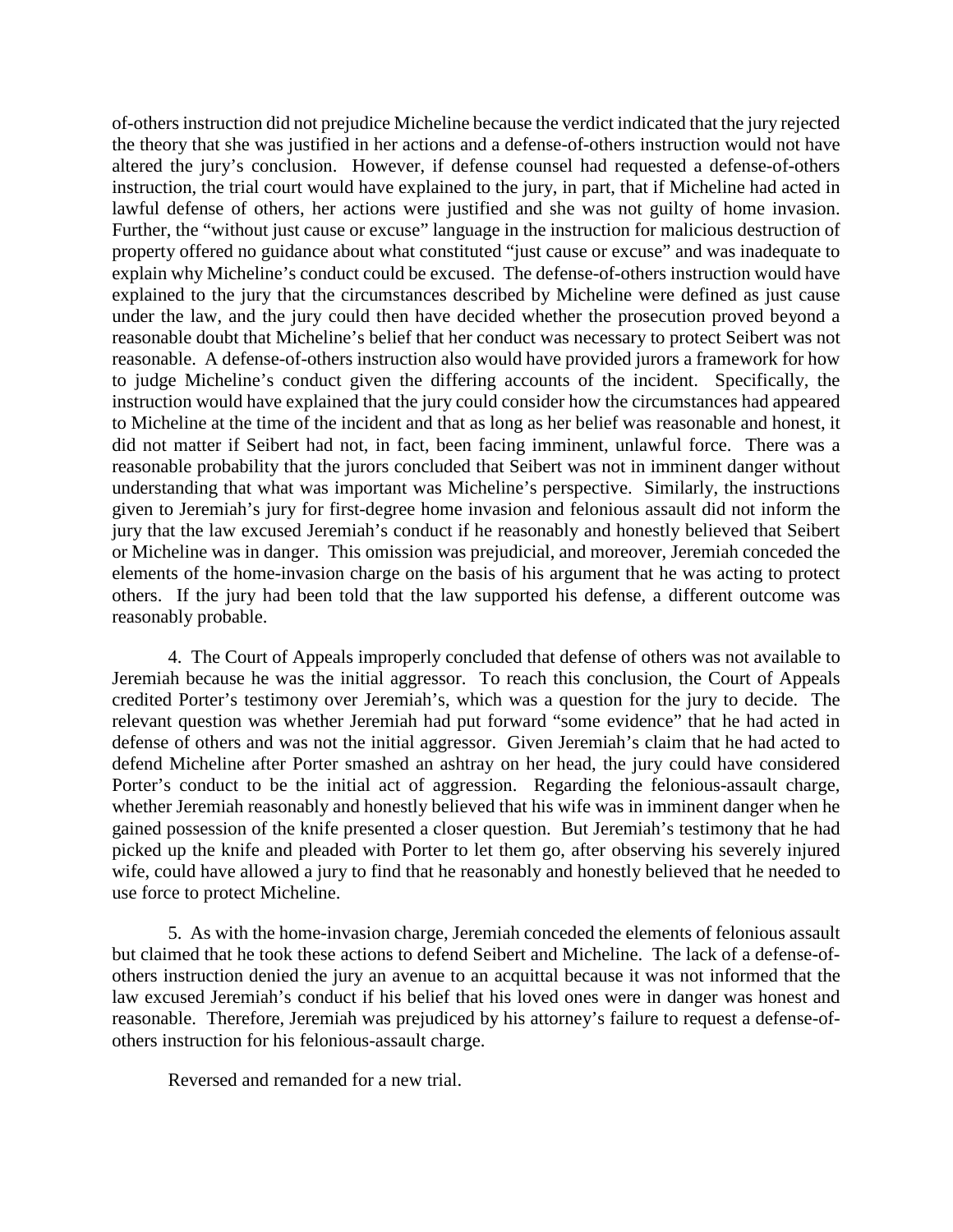of-others instruction did not prejudice Micheline because the verdict indicated that the jury rejected the theory that she was justified in her actions and a defense-of-others instruction would not have altered the jury's conclusion. However, if defense counsel had requested a defense-of-others instruction, the trial court would have explained to the jury, in part, that if Micheline had acted in lawful defense of others, her actions were justified and she was not guilty of home invasion. Further, the "without just cause or excuse" language in the instruction for malicious destruction of property offered no guidance about what constituted "just cause or excuse" and was inadequate to explain why Micheline's conduct could be excused. The defense-of-others instruction would have explained to the jury that the circumstances described by Micheline were defined as just cause under the law, and the jury could then have decided whether the prosecution proved beyond a reasonable doubt that Micheline's belief that her conduct was necessary to protect Seibert was not reasonable. A defense-of-others instruction also would have provided jurors a framework for how to judge Micheline's conduct given the differing accounts of the incident. Specifically, the instruction would have explained that the jury could consider how the circumstances had appeared to Micheline at the time of the incident and that as long as her belief was reasonable and honest, it did not matter if Seibert had not, in fact, been facing imminent, unlawful force. There was a reasonable probability that the jurors concluded that Seibert was not in imminent danger without understanding that what was important was Micheline's perspective. Similarly, the instructions given to Jeremiah's jury for first-degree home invasion and felonious assault did not inform the jury that the law excused Jeremiah's conduct if he reasonably and honestly believed that Seibert or Micheline was in danger. This omission was prejudicial, and moreover, Jeremiah conceded the elements of the home-invasion charge on the basis of his argument that he was acting to protect others. If the jury had been told that the law supported his defense, a different outcome was reasonably probable.

4. The Court of Appeals improperly concluded that defense of others was not available to Jeremiah because he was the initial aggressor. To reach this conclusion, the Court of Appeals credited Porter's testimony over Jeremiah's, which was a question for the jury to decide. The relevant question was whether Jeremiah had put forward "some evidence" that he had acted in defense of others and was not the initial aggressor. Given Jeremiah's claim that he had acted to defend Micheline after Porter smashed an ashtray on her head, the jury could have considered Porter's conduct to be the initial act of aggression. Regarding the felonious-assault charge, whether Jeremiah reasonably and honestly believed that his wife was in imminent danger when he gained possession of the knife presented a closer question. But Jeremiah's testimony that he had picked up the knife and pleaded with Porter to let them go, after observing his severely injured wife, could have allowed a jury to find that he reasonably and honestly believed that he needed to use force to protect Micheline.

5. As with the home-invasion charge, Jeremiah conceded the elements of felonious assault but claimed that he took these actions to defend Seibert and Micheline. The lack of a defense-ofothers instruction denied the jury an avenue to an acquittal because it was not informed that the law excused Jeremiah's conduct if his belief that his loved ones were in danger was honest and reasonable. Therefore, Jeremiah was prejudiced by his attorney's failure to request a defense-ofothers instruction for his felonious-assault charge.

Reversed and remanded for a new trial.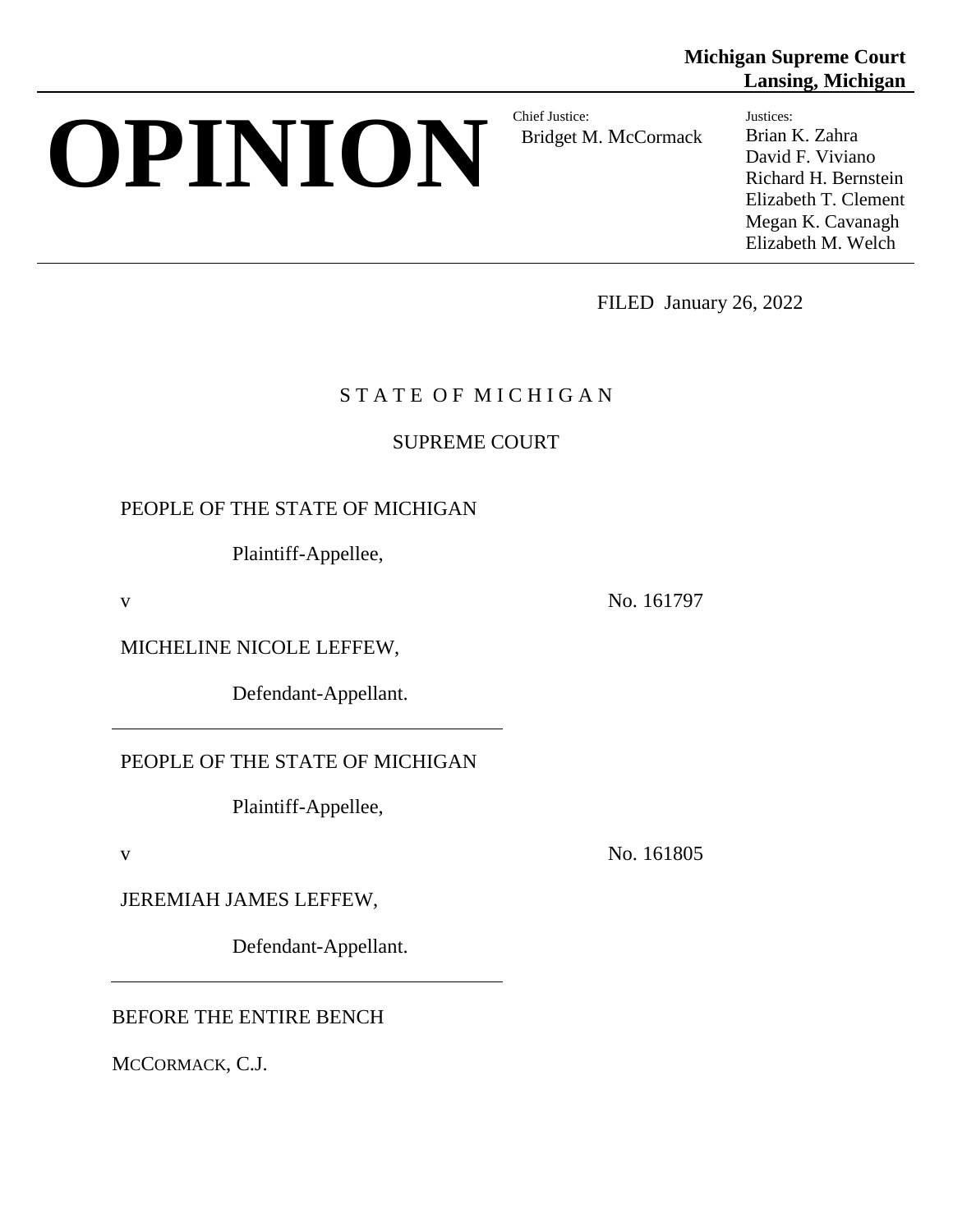# **OPINION** Bridget M

Bridget M. McCormack

**Lansing, Michigan** Justices: Brian K. Zahra

**Michigan Supreme Court**

David F. Viviano Richard H. Bernstein Elizabeth T. Clement Megan K. Cavanagh Elizabeth M. Welch

FILED January 26, 2022

## STATE OF MICHIGAN

## SUPREME COURT

## PEOPLE OF THE STATE OF MICHIGAN

Plaintiff-Appellee,

v No. 161797

MICHELINE NICOLE LEFFEW,

Defendant-Appellant.

PEOPLE OF THE STATE OF MICHIGAN

Plaintiff-Appellee,

v No. 161805

JEREMIAH JAMES LEFFEW,

Defendant-Appellant.

BEFORE THE ENTIRE BENCH

MCCORMACK, C.J.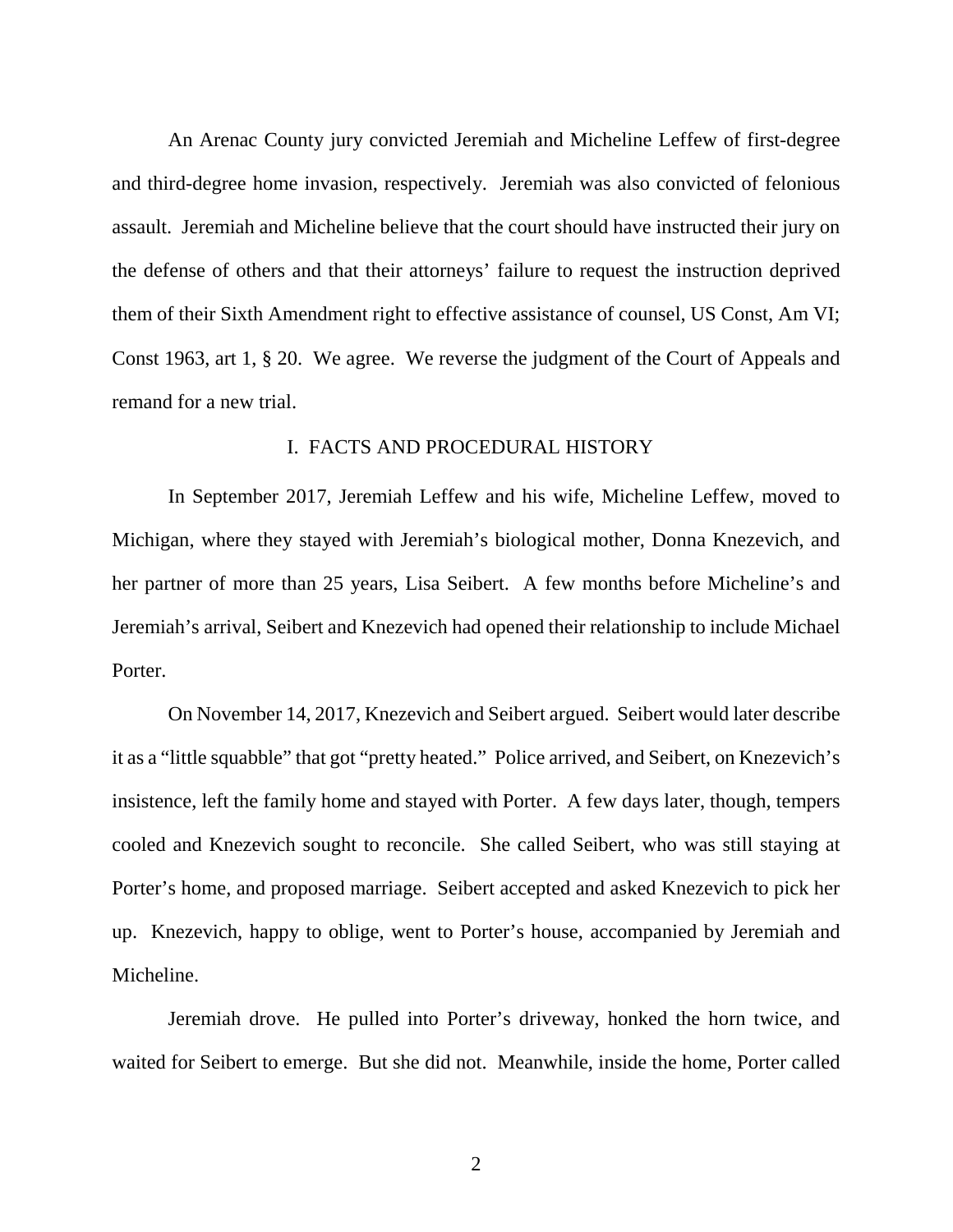An Arenac County jury convicted Jeremiah and Micheline Leffew of first-degree and third-degree home invasion, respectively. Jeremiah was also convicted of felonious assault. Jeremiah and Micheline believe that the court should have instructed their jury on the defense of others and that their attorneys' failure to request the instruction deprived them of their Sixth Amendment right to effective assistance of counsel, US Const, Am VI; Const 1963, art 1, § 20. We agree. We reverse the judgment of the Court of Appeals and remand for a new trial.

#### I. FACTS AND PROCEDURAL HISTORY

In September 2017, Jeremiah Leffew and his wife, Micheline Leffew, moved to Michigan, where they stayed with Jeremiah's biological mother, Donna Knezevich, and her partner of more than 25 years, Lisa Seibert. A few months before Micheline's and Jeremiah's arrival, Seibert and Knezevich had opened their relationship to include Michael Porter.

On November 14, 2017, Knezevich and Seibert argued. Seibert would later describe it as a "little squabble" that got "pretty heated." Police arrived, and Seibert, on Knezevich's insistence, left the family home and stayed with Porter. A few days later, though, tempers cooled and Knezevich sought to reconcile. She called Seibert, who was still staying at Porter's home, and proposed marriage. Seibert accepted and asked Knezevich to pick her up. Knezevich, happy to oblige, went to Porter's house, accompanied by Jeremiah and Micheline.

Jeremiah drove. He pulled into Porter's driveway, honked the horn twice, and waited for Seibert to emerge. But she did not. Meanwhile, inside the home, Porter called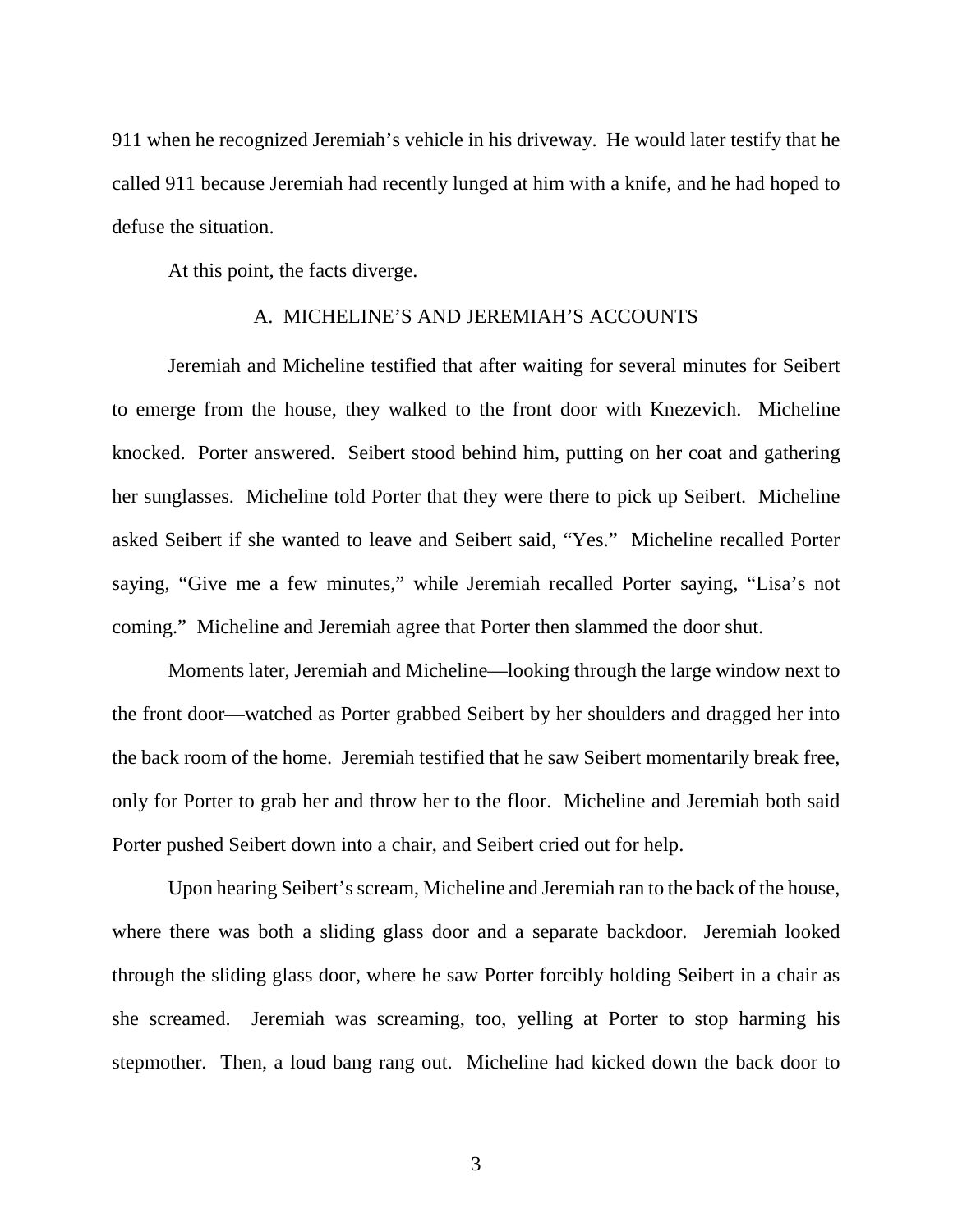911 when he recognized Jeremiah's vehicle in his driveway. He would later testify that he called 911 because Jeremiah had recently lunged at him with a knife, and he had hoped to defuse the situation.

At this point, the facts diverge.

#### A. MICHELINE'S AND JEREMIAH'S ACCOUNTS

Jeremiah and Micheline testified that after waiting for several minutes for Seibert to emerge from the house, they walked to the front door with Knezevich. Micheline knocked. Porter answered. Seibert stood behind him, putting on her coat and gathering her sunglasses. Micheline told Porter that they were there to pick up Seibert. Micheline asked Seibert if she wanted to leave and Seibert said, "Yes." Micheline recalled Porter saying, "Give me a few minutes," while Jeremiah recalled Porter saying, "Lisa's not coming." Micheline and Jeremiah agree that Porter then slammed the door shut.

Moments later, Jeremiah and Micheline—looking through the large window next to the front door—watched as Porter grabbed Seibert by her shoulders and dragged her into the back room of the home. Jeremiah testified that he saw Seibert momentarily break free, only for Porter to grab her and throw her to the floor. Micheline and Jeremiah both said Porter pushed Seibert down into a chair, and Seibert cried out for help.

Upon hearing Seibert's scream, Micheline and Jeremiah ran to the back of the house, where there was both a sliding glass door and a separate backdoor. Jeremiah looked through the sliding glass door, where he saw Porter forcibly holding Seibert in a chair as she screamed. Jeremiah was screaming, too, yelling at Porter to stop harming his stepmother. Then, a loud bang rang out. Micheline had kicked down the back door to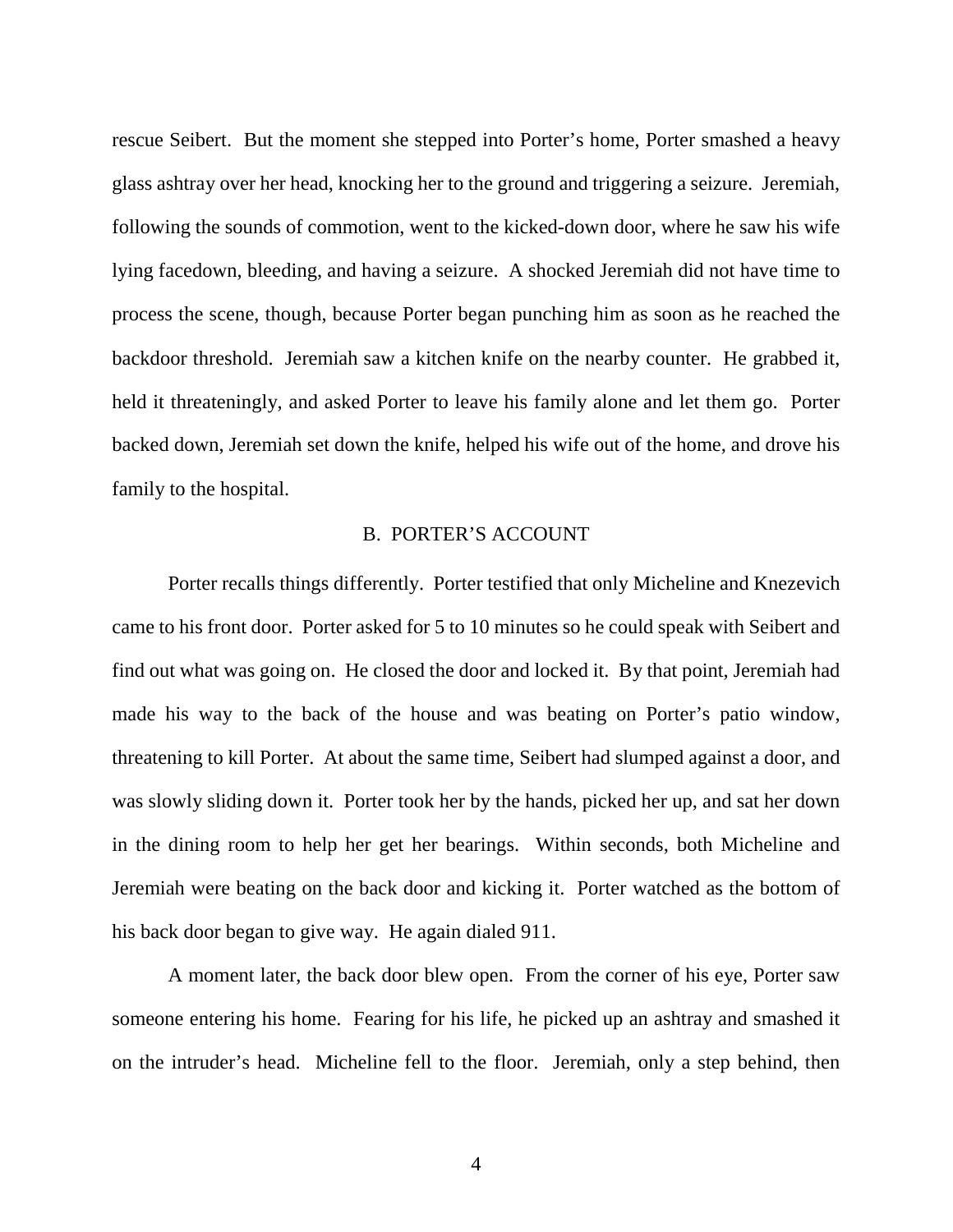rescue Seibert. But the moment she stepped into Porter's home, Porter smashed a heavy glass ashtray over her head, knocking her to the ground and triggering a seizure. Jeremiah, following the sounds of commotion, went to the kicked-down door, where he saw his wife lying facedown, bleeding, and having a seizure. A shocked Jeremiah did not have time to process the scene, though, because Porter began punching him as soon as he reached the backdoor threshold. Jeremiah saw a kitchen knife on the nearby counter. He grabbed it, held it threateningly, and asked Porter to leave his family alone and let them go. Porter backed down, Jeremiah set down the knife, helped his wife out of the home, and drove his family to the hospital.

#### B. PORTER'S ACCOUNT

Porter recalls things differently. Porter testified that only Micheline and Knezevich came to his front door. Porter asked for 5 to 10 minutes so he could speak with Seibert and find out what was going on. He closed the door and locked it. By that point, Jeremiah had made his way to the back of the house and was beating on Porter's patio window, threatening to kill Porter. At about the same time, Seibert had slumped against a door, and was slowly sliding down it. Porter took her by the hands, picked her up, and sat her down in the dining room to help her get her bearings. Within seconds, both Micheline and Jeremiah were beating on the back door and kicking it. Porter watched as the bottom of his back door began to give way. He again dialed 911.

A moment later, the back door blew open. From the corner of his eye, Porter saw someone entering his home. Fearing for his life, he picked up an ashtray and smashed it on the intruder's head. Micheline fell to the floor. Jeremiah, only a step behind, then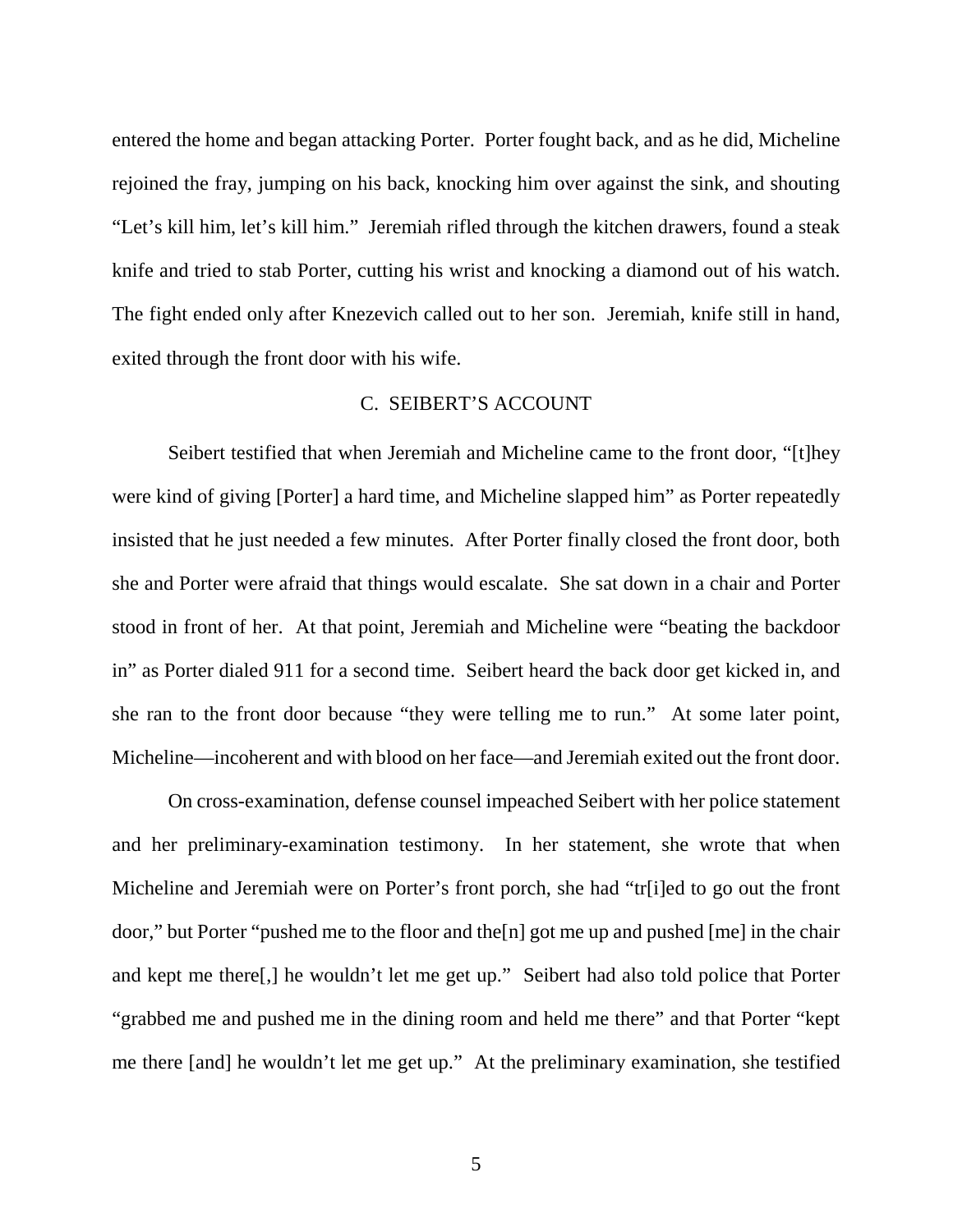entered the home and began attacking Porter. Porter fought back, and as he did, Micheline rejoined the fray, jumping on his back, knocking him over against the sink, and shouting "Let's kill him, let's kill him." Jeremiah rifled through the kitchen drawers, found a steak knife and tried to stab Porter, cutting his wrist and knocking a diamond out of his watch. The fight ended only after Knezevich called out to her son. Jeremiah, knife still in hand, exited through the front door with his wife.

#### C. SEIBERT'S ACCOUNT

Seibert testified that when Jeremiah and Micheline came to the front door, "[t]hey were kind of giving [Porter] a hard time, and Micheline slapped him" as Porter repeatedly insisted that he just needed a few minutes. After Porter finally closed the front door, both she and Porter were afraid that things would escalate. She sat down in a chair and Porter stood in front of her. At that point, Jeremiah and Micheline were "beating the backdoor in" as Porter dialed 911 for a second time. Seibert heard the back door get kicked in, and she ran to the front door because "they were telling me to run." At some later point, Micheline—incoherent and with blood on her face—and Jeremiah exited out the front door.

On cross-examination, defense counsel impeached Seibert with her police statement and her preliminary-examination testimony. In her statement, she wrote that when Micheline and Jeremiah were on Porter's front porch, she had "tr[i]ed to go out the front door," but Porter "pushed me to the floor and the[n] got me up and pushed [me] in the chair and kept me there[,] he wouldn't let me get up." Seibert had also told police that Porter "grabbed me and pushed me in the dining room and held me there" and that Porter "kept me there [and] he wouldn't let me get up." At the preliminary examination, she testified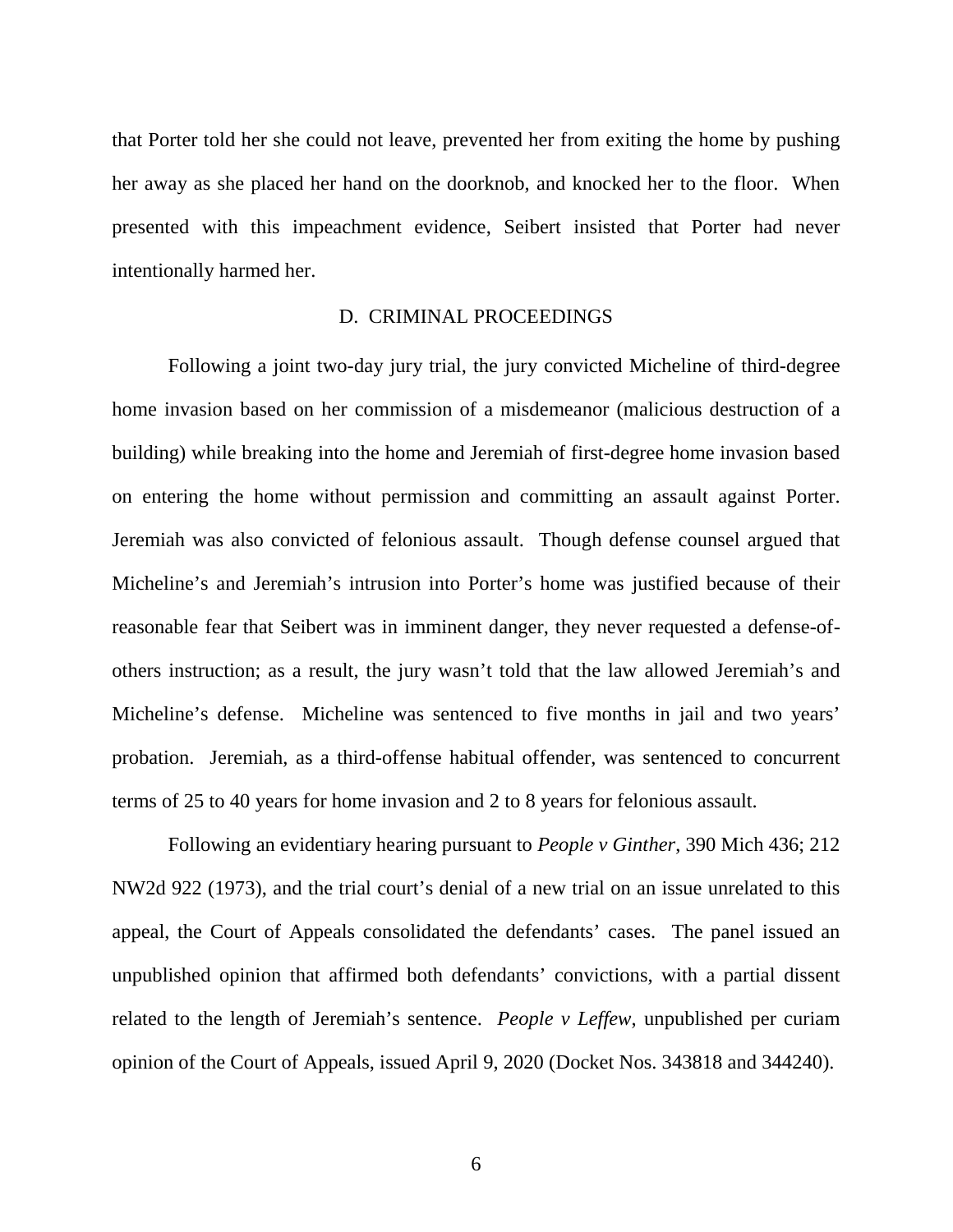that Porter told her she could not leave, prevented her from exiting the home by pushing her away as she placed her hand on the doorknob, and knocked her to the floor. When presented with this impeachment evidence, Seibert insisted that Porter had never intentionally harmed her.

#### D. CRIMINAL PROCEEDINGS

Following a joint two-day jury trial, the jury convicted Micheline of third-degree home invasion based on her commission of a misdemeanor (malicious destruction of a building) while breaking into the home and Jeremiah of first-degree home invasion based on entering the home without permission and committing an assault against Porter. Jeremiah was also convicted of felonious assault. Though defense counsel argued that Micheline's and Jeremiah's intrusion into Porter's home was justified because of their reasonable fear that Seibert was in imminent danger, they never requested a defense-ofothers instruction; as a result, the jury wasn't told that the law allowed Jeremiah's and Micheline's defense. Micheline was sentenced to five months in jail and two years' probation. Jeremiah, as a third-offense habitual offender, was sentenced to concurrent terms of 25 to 40 years for home invasion and 2 to 8 years for felonious assault.

Following an evidentiary hearing pursuant to *People v Ginther*, 390 Mich 436; 212 NW2d 922 (1973), and the trial court's denial of a new trial on an issue unrelated to this appeal, the Court of Appeals consolidated the defendants' cases. The panel issued an unpublished opinion that affirmed both defendants' convictions, with a partial dissent related to the length of Jeremiah's sentence. *People v Leffew*, unpublished per curiam opinion of the Court of Appeals, issued April 9, 2020 (Docket Nos. 343818 and 344240).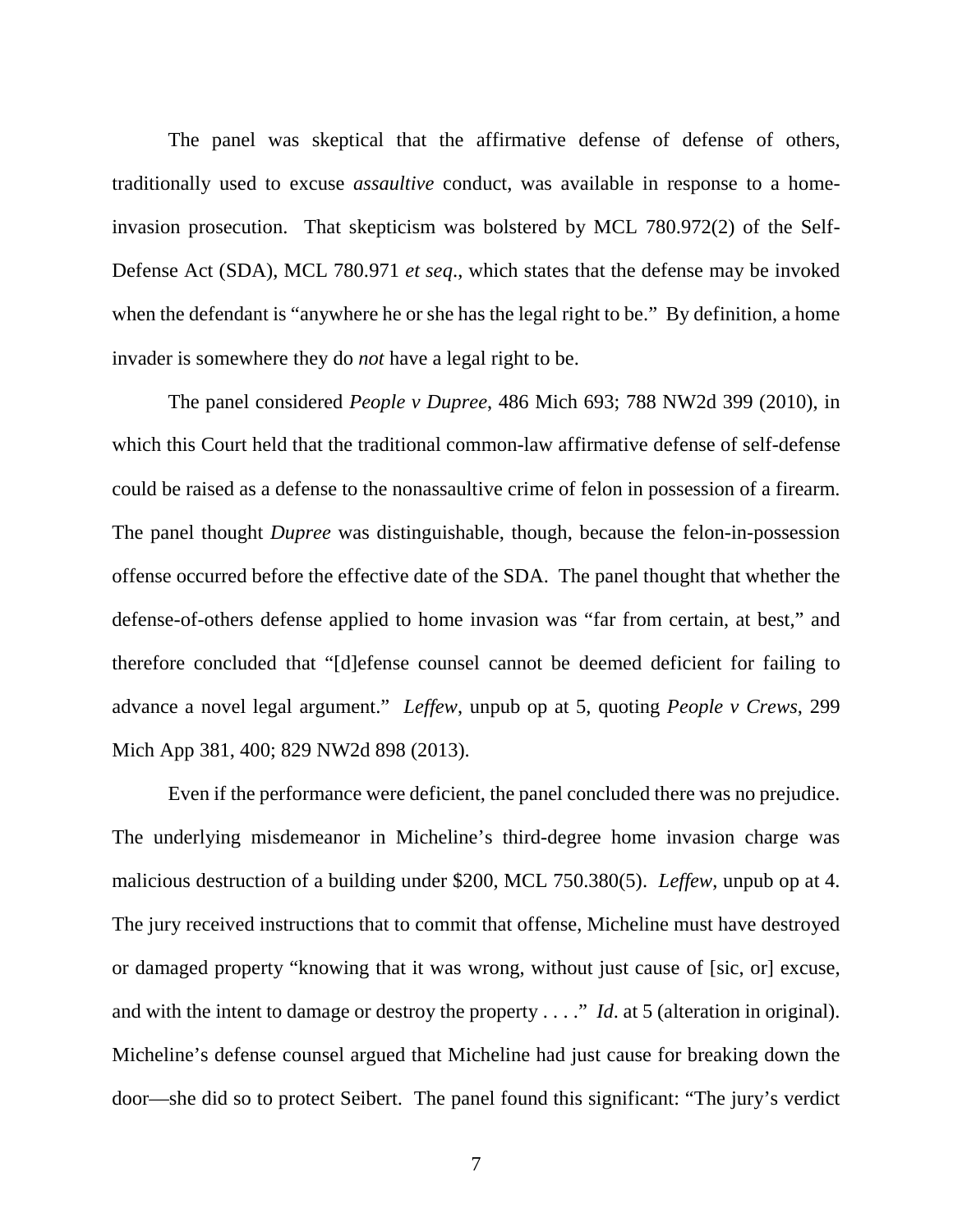The panel was skeptical that the affirmative defense of defense of others, traditionally used to excuse *assaultive* conduct, was available in response to a homeinvasion prosecution. That skepticism was bolstered by MCL 780.972(2) of the Self-Defense Act (SDA), MCL 780.971 *et seq*., which states that the defense may be invoked when the defendant is "anywhere he or she has the legal right to be." By definition, a home invader is somewhere they do *not* have a legal right to be.

The panel considered *People v Dupree*, 486 Mich 693; 788 NW2d 399 (2010), in which this Court held that the traditional common-law affirmative defense of self-defense could be raised as a defense to the nonassaultive crime of felon in possession of a firearm. The panel thought *Dupree* was distinguishable, though, because the felon-in-possession offense occurred before the effective date of the SDA. The panel thought that whether the defense-of-others defense applied to home invasion was "far from certain, at best," and therefore concluded that "[d]efense counsel cannot be deemed deficient for failing to advance a novel legal argument." *Leffew*, unpub op at 5, quoting *People v Crews*, 299 Mich App 381, 400; 829 NW2d 898 (2013).

Even if the performance were deficient, the panel concluded there was no prejudice. The underlying misdemeanor in Micheline's third-degree home invasion charge was malicious destruction of a building under \$200, MCL 750.380(5). *Leffew*, unpub op at 4. The jury received instructions that to commit that offense, Micheline must have destroyed or damaged property "knowing that it was wrong, without just cause of [sic, or] excuse, and with the intent to damage or destroy the property . . . ." *Id*. at 5 (alteration in original). Micheline's defense counsel argued that Micheline had just cause for breaking down the door—she did so to protect Seibert. The panel found this significant: "The jury's verdict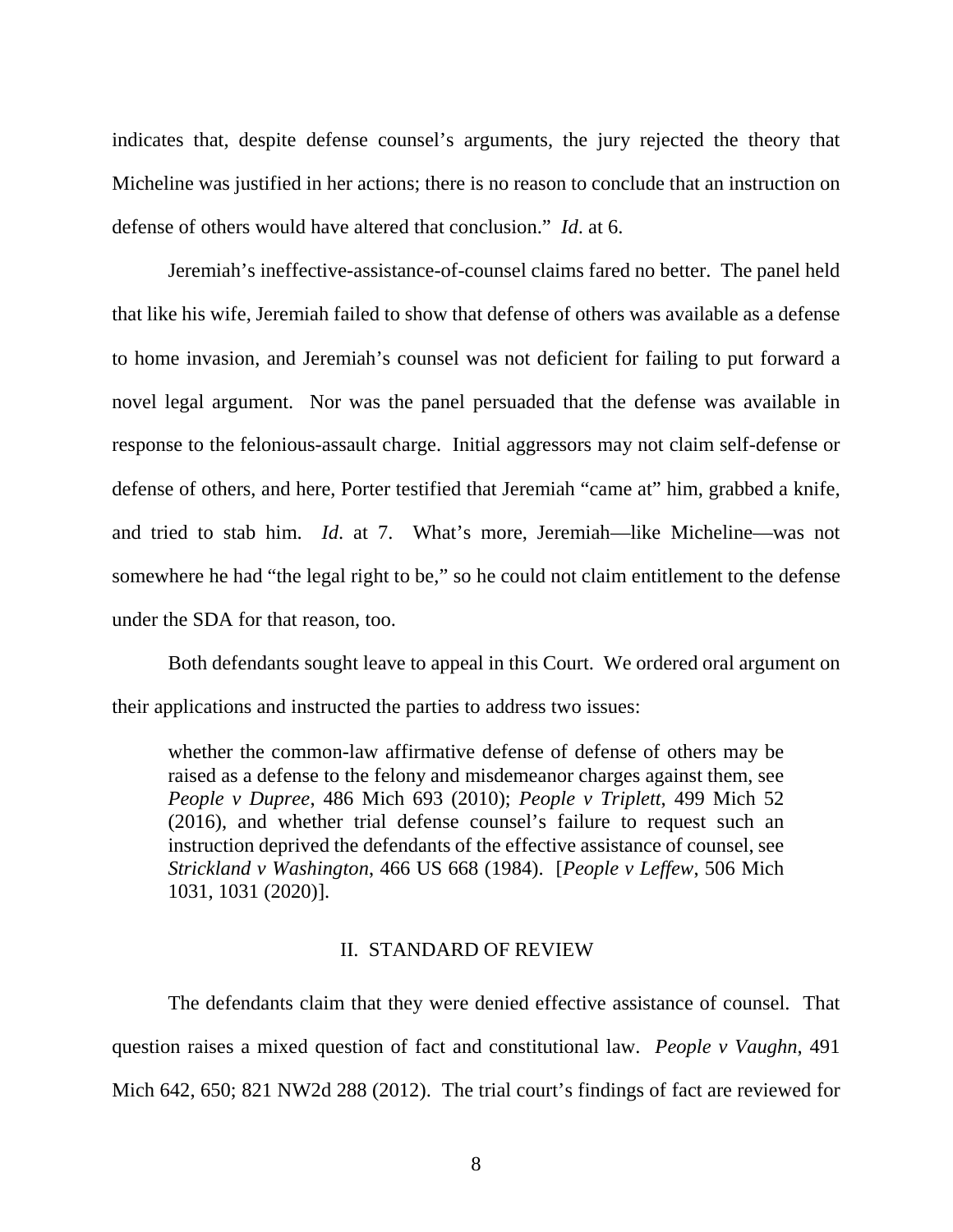indicates that, despite defense counsel's arguments, the jury rejected the theory that Micheline was justified in her actions; there is no reason to conclude that an instruction on defense of others would have altered that conclusion." *Id*. at 6.

Jeremiah's ineffective-assistance-of-counsel claims fared no better. The panel held that like his wife, Jeremiah failed to show that defense of others was available as a defense to home invasion, and Jeremiah's counsel was not deficient for failing to put forward a novel legal argument. Nor was the panel persuaded that the defense was available in response to the felonious-assault charge. Initial aggressors may not claim self-defense or defense of others, and here, Porter testified that Jeremiah "came at" him, grabbed a knife, and tried to stab him. *Id*. at 7. What's more, Jeremiah—like Micheline—was not somewhere he had "the legal right to be," so he could not claim entitlement to the defense under the SDA for that reason, too.

Both defendants sought leave to appeal in this Court. We ordered oral argument on their applications and instructed the parties to address two issues:

whether the common-law affirmative defense of defense of others may be raised as a defense to the felony and misdemeanor charges against them, see *People v Dupree*, 486 Mich 693 (2010); *People v Triplett*, 499 Mich 52 (2016), and whether trial defense counsel's failure to request such an instruction deprived the defendants of the effective assistance of counsel, see *Strickland v Washington*, 466 US 668 (1984). [*People v Leffew*, 506 Mich 1031, 1031 (2020)].

#### II. STANDARD OF REVIEW

The defendants claim that they were denied effective assistance of counsel. That question raises a mixed question of fact and constitutional law. *People v Vaughn*, 491 Mich 642, 650; 821 NW2d 288 (2012). The trial court's findings of fact are reviewed for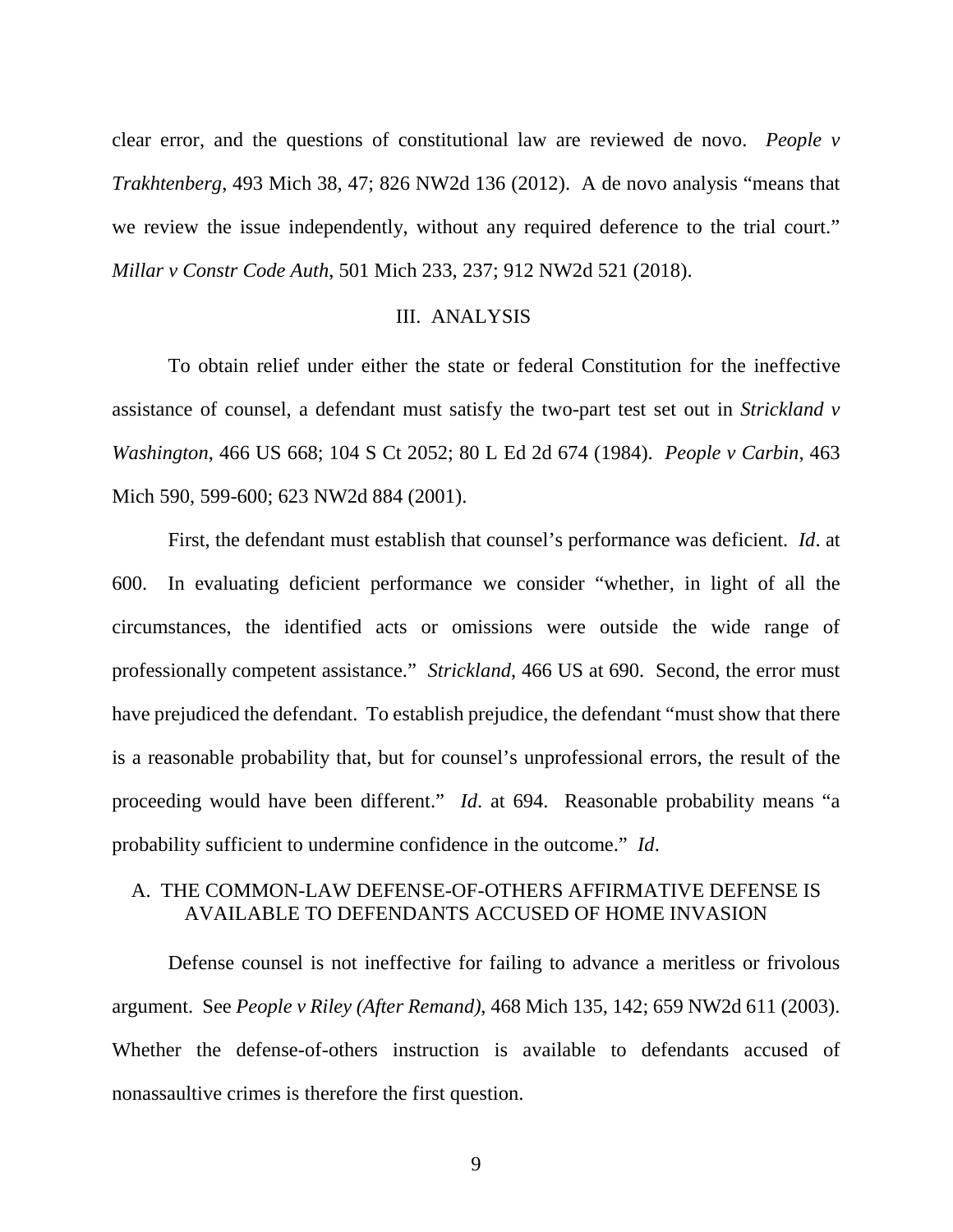clear error, and the questions of constitutional law are reviewed de novo. *People v Trakhtenberg*, 493 Mich 38, 47; 826 NW2d 136 (2012). A de novo analysis "means that we review the issue independently, without any required deference to the trial court." *Millar v Constr Code Auth*, 501 Mich 233, 237; 912 NW2d 521 (2018).

#### III. ANALYSIS

To obtain relief under either the state or federal Constitution for the ineffective assistance of counsel, a defendant must satisfy the two-part test set out in *Strickland v Washington*, 466 US 668; 104 S Ct 2052; 80 L Ed 2d 674 (1984). *People v Carbin*, 463 Mich 590, 599-600; 623 NW2d 884 (2001).

First, the defendant must establish that counsel's performance was deficient. *Id*. at 600. In evaluating deficient performance we consider "whether, in light of all the circumstances, the identified acts or omissions were outside the wide range of professionally competent assistance." *Strickland*, 466 US at 690. Second, the error must have prejudiced the defendant. To establish prejudice, the defendant "must show that there is a reasonable probability that, but for counsel's unprofessional errors, the result of the proceeding would have been different." *Id*. at 694. Reasonable probability means "a probability sufficient to undermine confidence in the outcome." *Id*.

## A. THE COMMON-LAW DEFENSE-OF-OTHERS AFFIRMATIVE DEFENSE IS AVAILABLE TO DEFENDANTS ACCUSED OF HOME INVASION

Defense counsel is not ineffective for failing to advance a meritless or frivolous argument. See *People v Riley (After Remand)*, 468 Mich 135, 142; 659 NW2d 611 (2003). Whether the defense-of-others instruction is available to defendants accused of nonassaultive crimes is therefore the first question.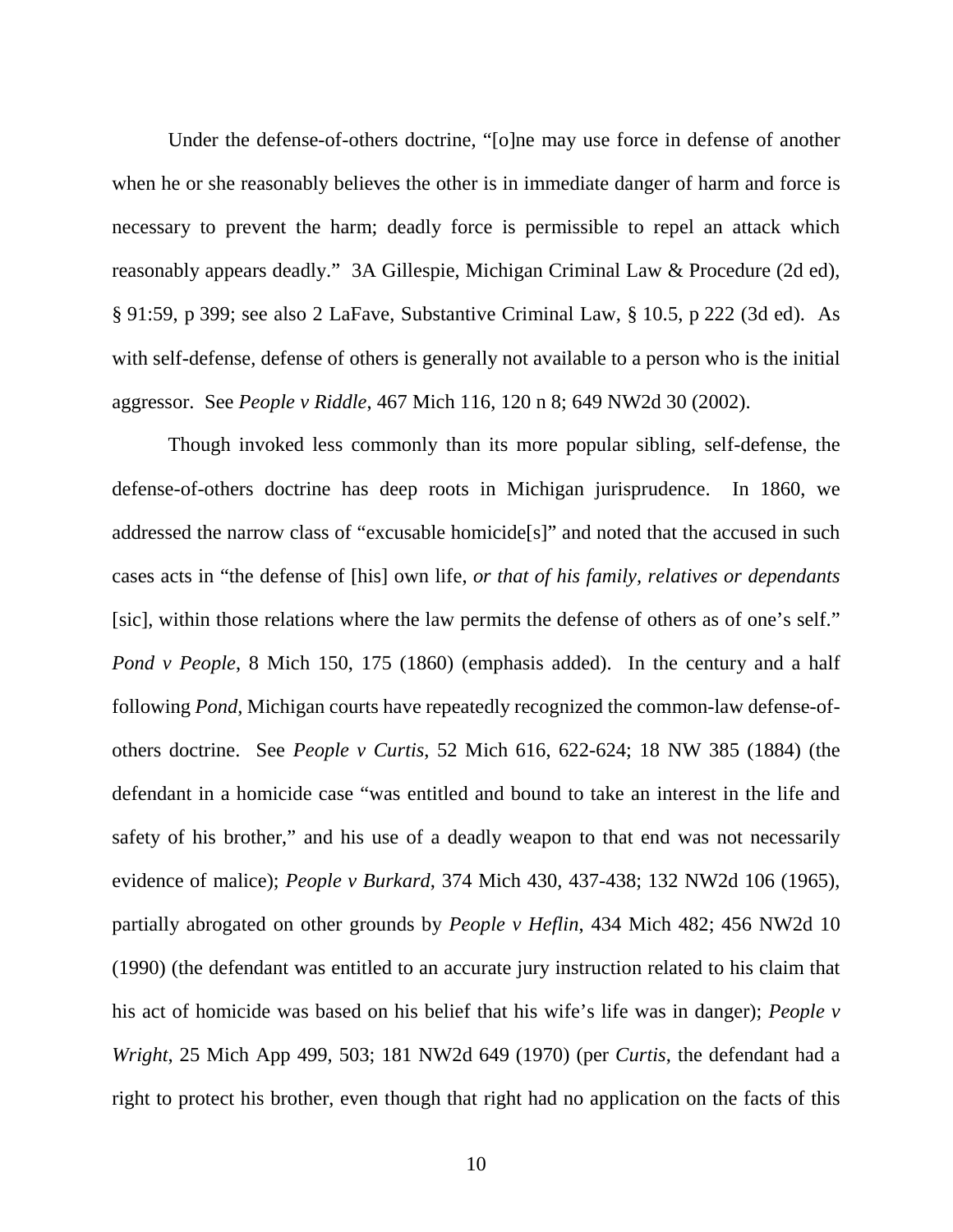Under the defense-of-others doctrine, "[o]ne may use force in defense of another when he or she reasonably believes the other is in immediate danger of harm and force is necessary to prevent the harm; deadly force is permissible to repel an attack which reasonably appears deadly." 3A Gillespie, Michigan Criminal Law & Procedure (2d ed), § 91:59, p 399; see also 2 LaFave, Substantive Criminal Law, § 10.5, p 222 (3d ed). As with self-defense, defense of others is generally not available to a person who is the initial aggressor. See *People v Riddle*, 467 Mich 116, 120 n 8; 649 NW2d 30 (2002).

Though invoked less commonly than its more popular sibling, self-defense, the defense-of-others doctrine has deep roots in Michigan jurisprudence. In 1860, we addressed the narrow class of "excusable homicide[s]" and noted that the accused in such cases acts in "the defense of [his] own life, *or that of his family, relatives or dependants* [sic], within those relations where the law permits the defense of others as of one's self." *Pond v People*, 8 Mich 150, 175 (1860) (emphasis added). In the century and a half following *Pond*, Michigan courts have repeatedly recognized the common-law defense-ofothers doctrine. See *People v Curtis*, 52 Mich 616, 622-624; 18 NW 385 (1884) (the defendant in a homicide case "was entitled and bound to take an interest in the life and safety of his brother," and his use of a deadly weapon to that end was not necessarily evidence of malice); *People v Burkard*, 374 Mich 430, 437-438; 132 NW2d 106 (1965), partially abrogated on other grounds by *People v Heflin*, 434 Mich 482; 456 NW2d 10 (1990) (the defendant was entitled to an accurate jury instruction related to his claim that his act of homicide was based on his belief that his wife's life was in danger); *People v Wright*, 25 Mich App 499, 503; 181 NW2d 649 (1970) (per *Curtis*, the defendant had a right to protect his brother, even though that right had no application on the facts of this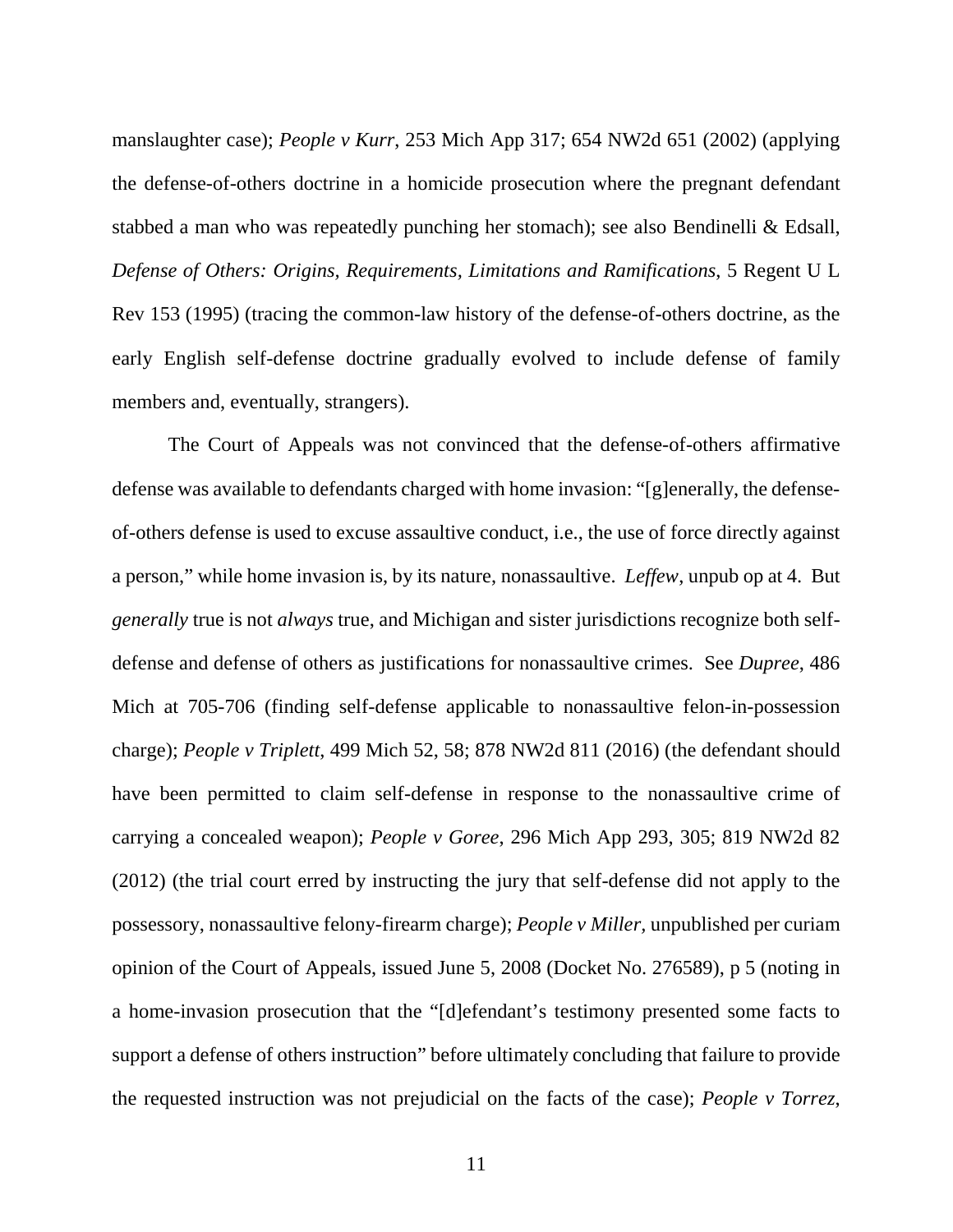manslaughter case); *People v Kurr*, 253 Mich App 317; 654 NW2d 651 (2002) (applying the defense-of-others doctrine in a homicide prosecution where the pregnant defendant stabbed a man who was repeatedly punching her stomach); see also Bendinelli & Edsall, *Defense of Others: Origins, Requirements, Limitations and Ramifications*, 5 Regent U L Rev 153 (1995) (tracing the common-law history of the defense-of-others doctrine, as the early English self-defense doctrine gradually evolved to include defense of family members and, eventually, strangers).

The Court of Appeals was not convinced that the defense-of-others affirmative defense was available to defendants charged with home invasion: "[g]enerally, the defenseof-others defense is used to excuse assaultive conduct, i.e., the use of force directly against a person," while home invasion is, by its nature, nonassaultive. *Leffew*, unpub op at 4. But *generally* true is not *always* true, and Michigan and sister jurisdictions recognize both selfdefense and defense of others as justifications for nonassaultive crimes. See *Dupree*, 486 Mich at 705-706 (finding self-defense applicable to nonassaultive felon-in-possession charge); *People v Triplett*, 499 Mich 52, 58; 878 NW2d 811 (2016) (the defendant should have been permitted to claim self-defense in response to the nonassaultive crime of carrying a concealed weapon); *People v Goree*, 296 Mich App 293, 305; 819 NW2d 82 (2012) (the trial court erred by instructing the jury that self-defense did not apply to the possessory, nonassaultive felony-firearm charge); *People v Miller,* unpublished per curiam opinion of the Court of Appeals, issued June 5, 2008 (Docket No. 276589), p 5 (noting in a home-invasion prosecution that the "[d]efendant's testimony presented some facts to support a defense of others instruction" before ultimately concluding that failure to provide the requested instruction was not prejudicial on the facts of the case); *People v Torrez*,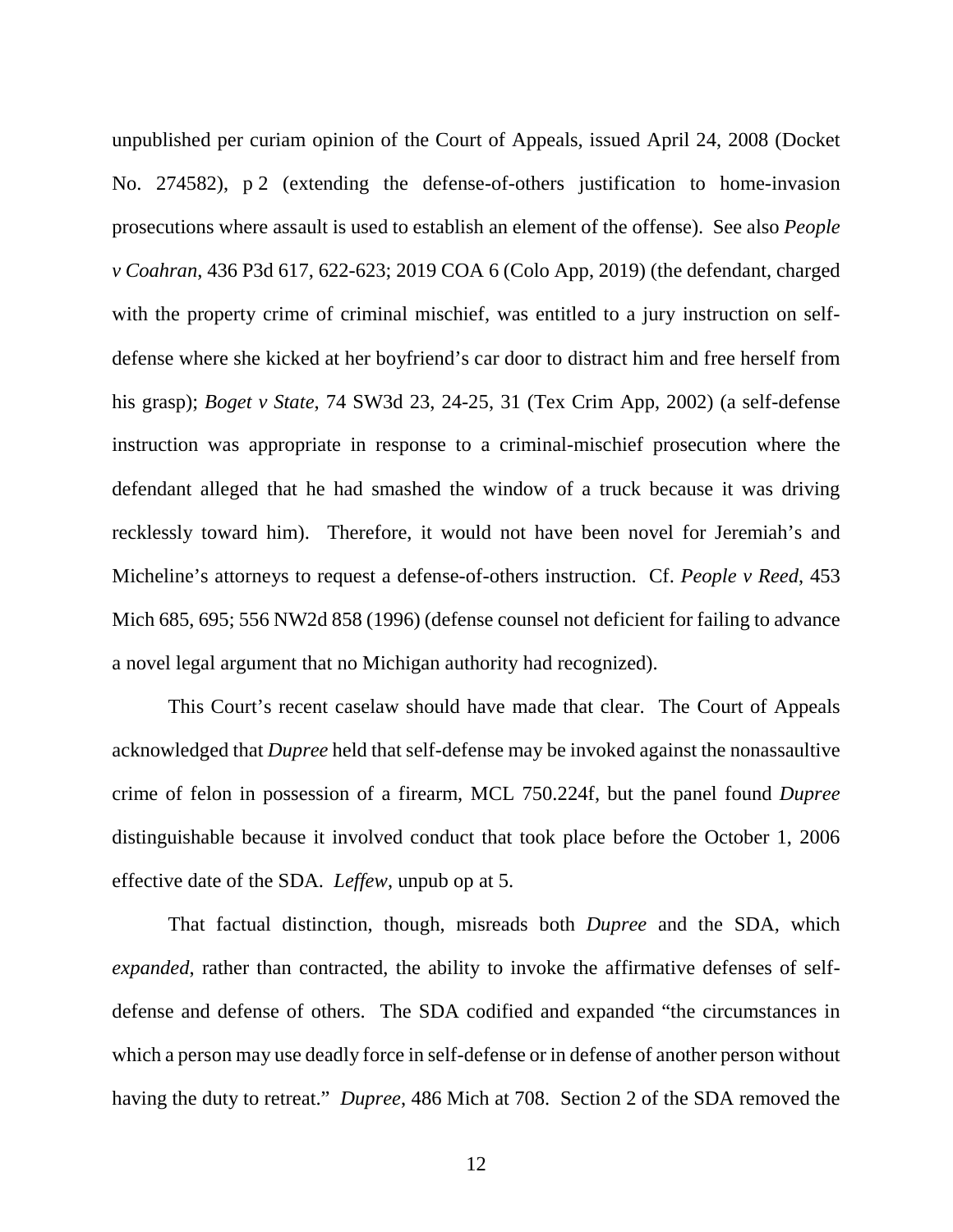unpublished per curiam opinion of the Court of Appeals, issued April 24, 2008 (Docket No. 274582), p 2 (extending the defense-of-others justification to home-invasion prosecutions where assault is used to establish an element of the offense). See also *People v Coahran*, 436 P3d 617, 622-623; 2019 COA 6 (Colo App, 2019) (the defendant, charged with the property crime of criminal mischief, was entitled to a jury instruction on selfdefense where she kicked at her boyfriend's car door to distract him and free herself from his grasp); *Boget v State*, 74 SW3d 23, 24-25, 31 (Tex Crim App, 2002) (a self-defense instruction was appropriate in response to a criminal-mischief prosecution where the defendant alleged that he had smashed the window of a truck because it was driving recklessly toward him). Therefore, it would not have been novel for Jeremiah's and Micheline's attorneys to request a defense-of-others instruction. Cf. *People v Reed*, 453 Mich 685, 695; 556 NW2d 858 (1996) (defense counsel not deficient for failing to advance a novel legal argument that no Michigan authority had recognized).

This Court's recent caselaw should have made that clear. The Court of Appeals acknowledged that *Dupree* held that self-defense may be invoked against the nonassaultive crime of felon in possession of a firearm, MCL 750.224f, but the panel found *Dupree* distinguishable because it involved conduct that took place before the October 1, 2006 effective date of the SDA. *Leffew*, unpub op at 5.

That factual distinction, though, misreads both *Dupree* and the SDA, which *expanded*, rather than contracted, the ability to invoke the affirmative defenses of selfdefense and defense of others. The SDA codified and expanded "the circumstances in which a person may use deadly force in self-defense or in defense of another person without having the duty to retreat." *Dupree*, 486 Mich at 708. Section 2 of the SDA removed the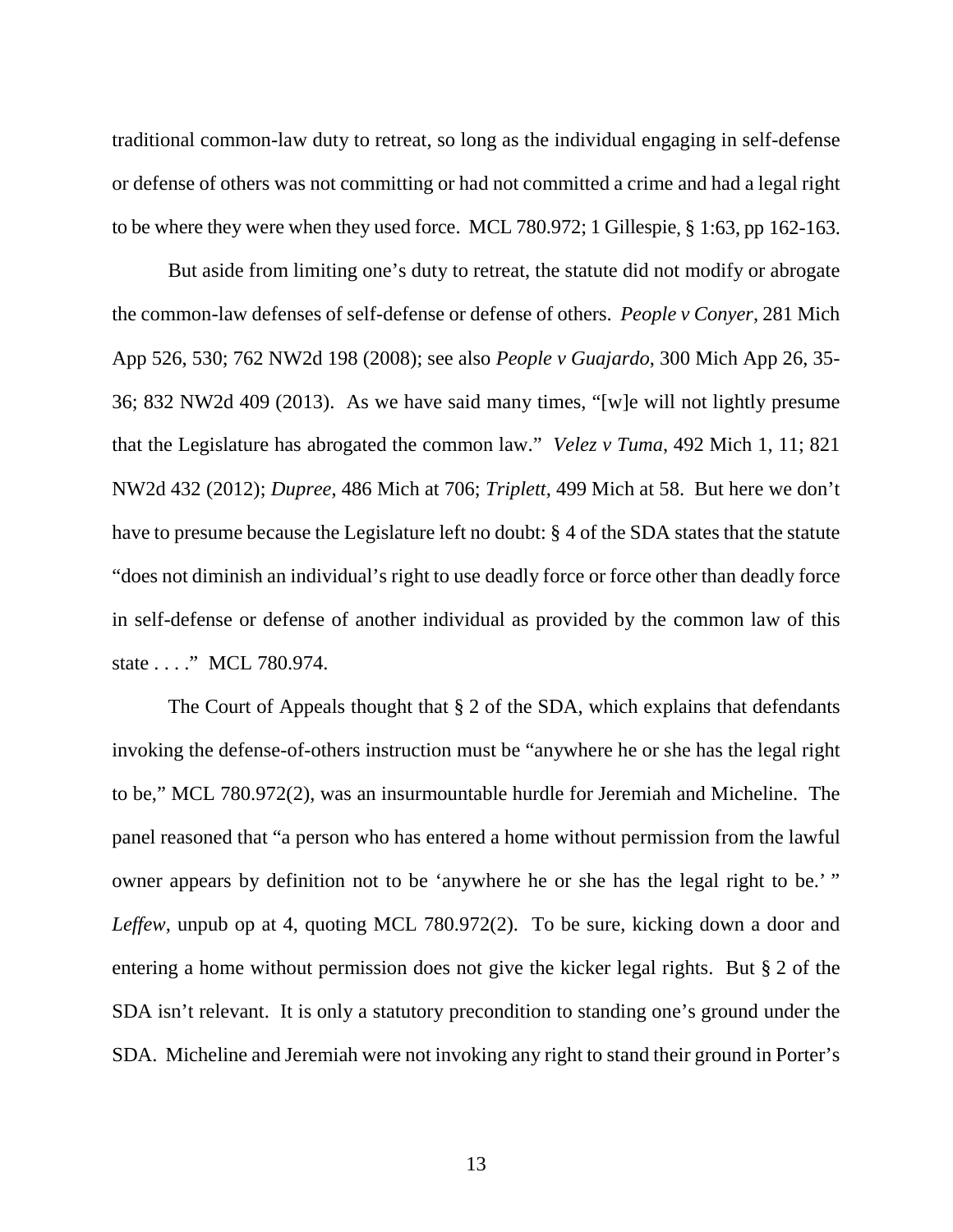traditional common-law duty to retreat, so long as the individual engaging in self-defense or defense of others was not committing or had not committed a crime and had a legal right to be where they were when they used force. MCL 780.972; 1 Gillespie, § 1:63, pp 162-163.

But aside from limiting one's duty to retreat, the statute did not modify or abrogate the common-law defenses of self-defense or defense of others. *People v Conyer*, 281 Mich App 526, 530; 762 NW2d 198 (2008); see also *People v Guajardo*, 300 Mich App 26, 35- 36; 832 NW2d 409 (2013). As we have said many times, "[w]e will not lightly presume that the Legislature has abrogated the common law." *Velez v Tuma*, 492 Mich 1, 11; 821 NW2d 432 (2012); *Dupree*, 486 Mich at 706; *Triplett*, 499 Mich at 58. But here we don't have to presume because the Legislature left no doubt: § 4 of the SDA states that the statute "does not diminish an individual's right to use deadly force or force other than deadly force in self-defense or defense of another individual as provided by the common law of this state . . . ." MCL 780.974.

The Court of Appeals thought that § 2 of the SDA, which explains that defendants invoking the defense-of-others instruction must be "anywhere he or she has the legal right to be," MCL 780.972(2), was an insurmountable hurdle for Jeremiah and Micheline. The panel reasoned that "a person who has entered a home without permission from the lawful owner appears by definition not to be 'anywhere he or she has the legal right to be.' " *Leffew*, unpub op at 4, quoting MCL 780.972(2). To be sure, kicking down a door and entering a home without permission does not give the kicker legal rights. But § 2 of the SDA isn't relevant. It is only a statutory precondition to standing one's ground under the SDA. Micheline and Jeremiah were not invoking any right to stand their ground in Porter's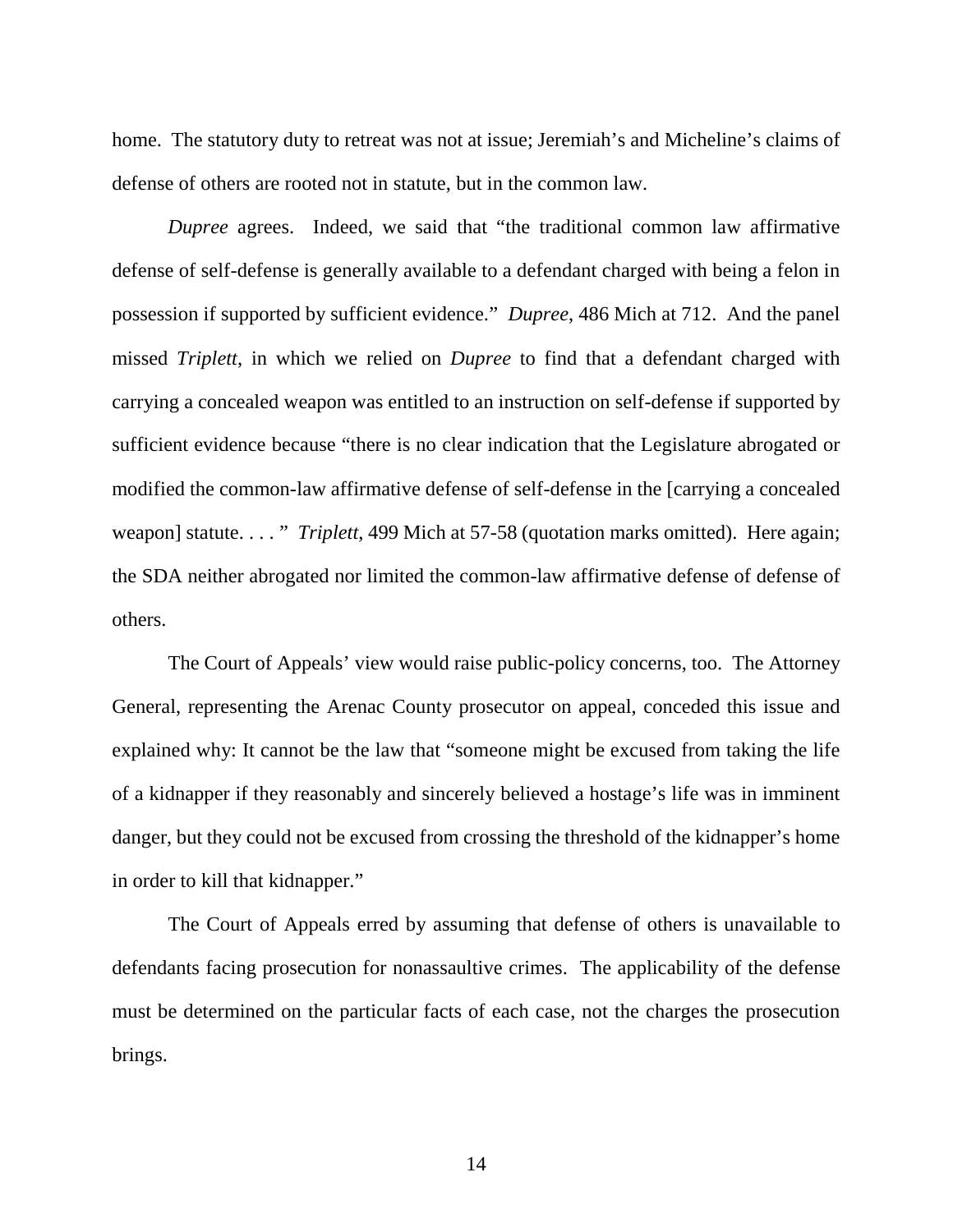home. The statutory duty to retreat was not at issue; Jeremiah's and Micheline's claims of defense of others are rooted not in statute, but in the common law.

*Dupree* agrees. Indeed, we said that "the traditional common law affirmative defense of self-defense is generally available to a defendant charged with being a felon in possession if supported by sufficient evidence." *Dupree*, 486 Mich at 712. And the panel missed *Triplett*, in which we relied on *Dupree* to find that a defendant charged with carrying a concealed weapon was entitled to an instruction on self-defense if supported by sufficient evidence because "there is no clear indication that the Legislature abrogated or modified the common-law affirmative defense of self-defense in the [carrying a concealed weapon] statute. . . . " *Triplett*, 499 Mich at 57-58 (quotation marks omitted). Here again; the SDA neither abrogated nor limited the common-law affirmative defense of defense of others.

The Court of Appeals' view would raise public-policy concerns, too. The Attorney General, representing the Arenac County prosecutor on appeal, conceded this issue and explained why: It cannot be the law that "someone might be excused from taking the life of a kidnapper if they reasonably and sincerely believed a hostage's life was in imminent danger, but they could not be excused from crossing the threshold of the kidnapper's home in order to kill that kidnapper."

The Court of Appeals erred by assuming that defense of others is unavailable to defendants facing prosecution for nonassaultive crimes. The applicability of the defense must be determined on the particular facts of each case, not the charges the prosecution brings.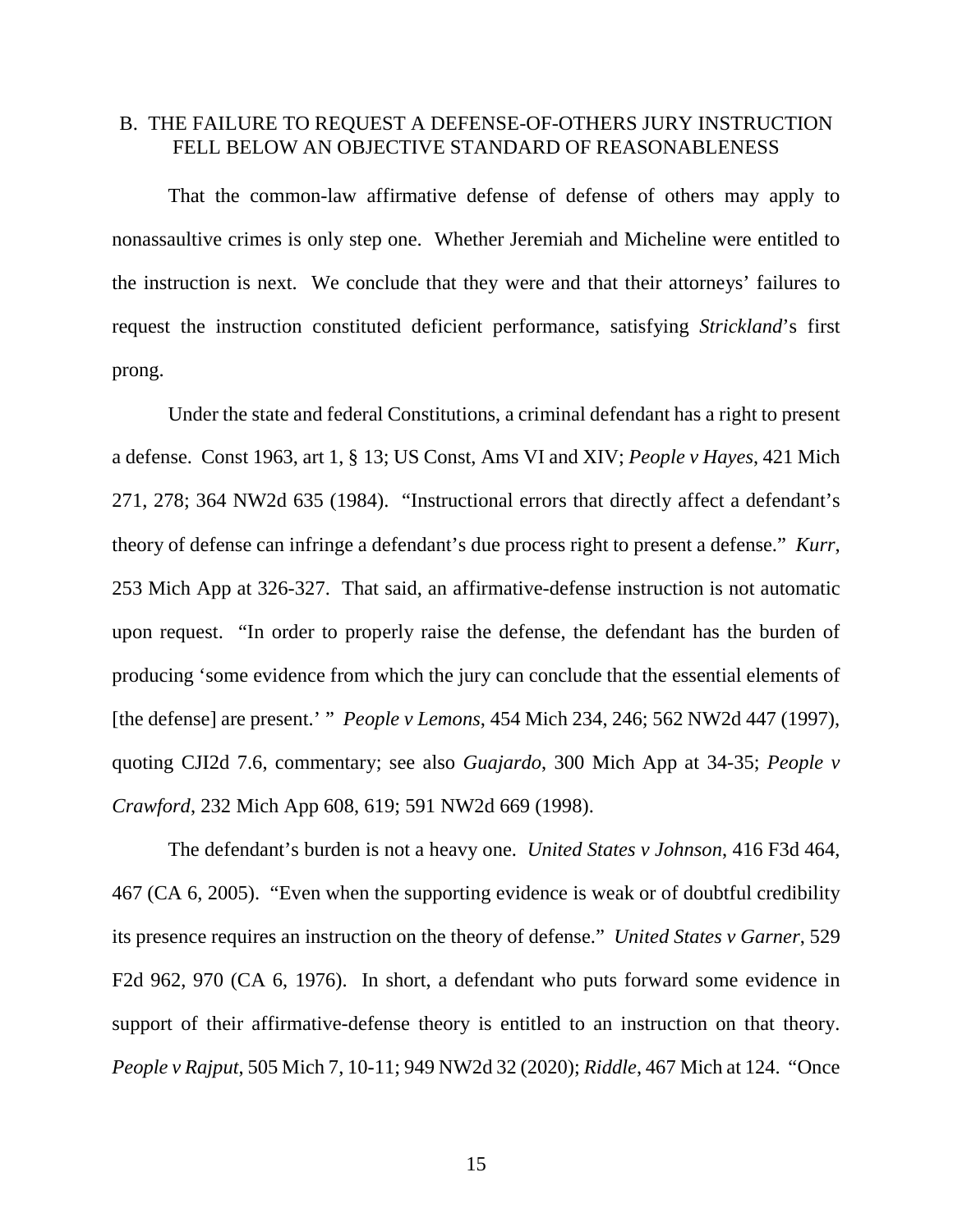#### B. THE FAILURE TO REQUEST A DEFENSE-OF-OTHERS JURY INSTRUCTION FELL BELOW AN OBJECTIVE STANDARD OF REASONABLENESS

That the common-law affirmative defense of defense of others may apply to nonassaultive crimes is only step one. Whether Jeremiah and Micheline were entitled to the instruction is next. We conclude that they were and that their attorneys' failures to request the instruction constituted deficient performance, satisfying *Strickland*'s first prong.

Under the state and federal Constitutions, a criminal defendant has a right to present a defense. Const 1963, art 1, § 13; US Const, Ams VI and XIV; *People v Hayes*, 421 Mich 271, 278; 364 NW2d 635 (1984). "Instructional errors that directly affect a defendant's theory of defense can infringe a defendant's due process right to present a defense." *Kurr*, 253 Mich App at 326-327. That said, an affirmative-defense instruction is not automatic upon request. "In order to properly raise the defense, the defendant has the burden of producing 'some evidence from which the jury can conclude that the essential elements of [the defense] are present.' " *People v Lemons*, 454 Mich 234, 246; 562 NW2d 447 (1997), quoting CJI2d 7.6, commentary; see also *Guajardo*, 300 Mich App at 34-35; *People v Crawford*, 232 Mich App 608, 619; 591 NW2d 669 (1998).

The defendant's burden is not a heavy one. *United States v Johnson*, 416 F3d 464, 467 (CA 6, 2005). "Even when the supporting evidence is weak or of doubtful credibility its presence requires an instruction on the theory of defense." *United States v Garner*, 529 F2d 962, 970 (CA 6, 1976). In short, a defendant who puts forward some evidence in support of their affirmative-defense theory is entitled to an instruction on that theory. *People v Rajput*, 505 Mich 7, 10-11; 949 NW2d 32 (2020); *Riddle*, 467 Mich at 124. "Once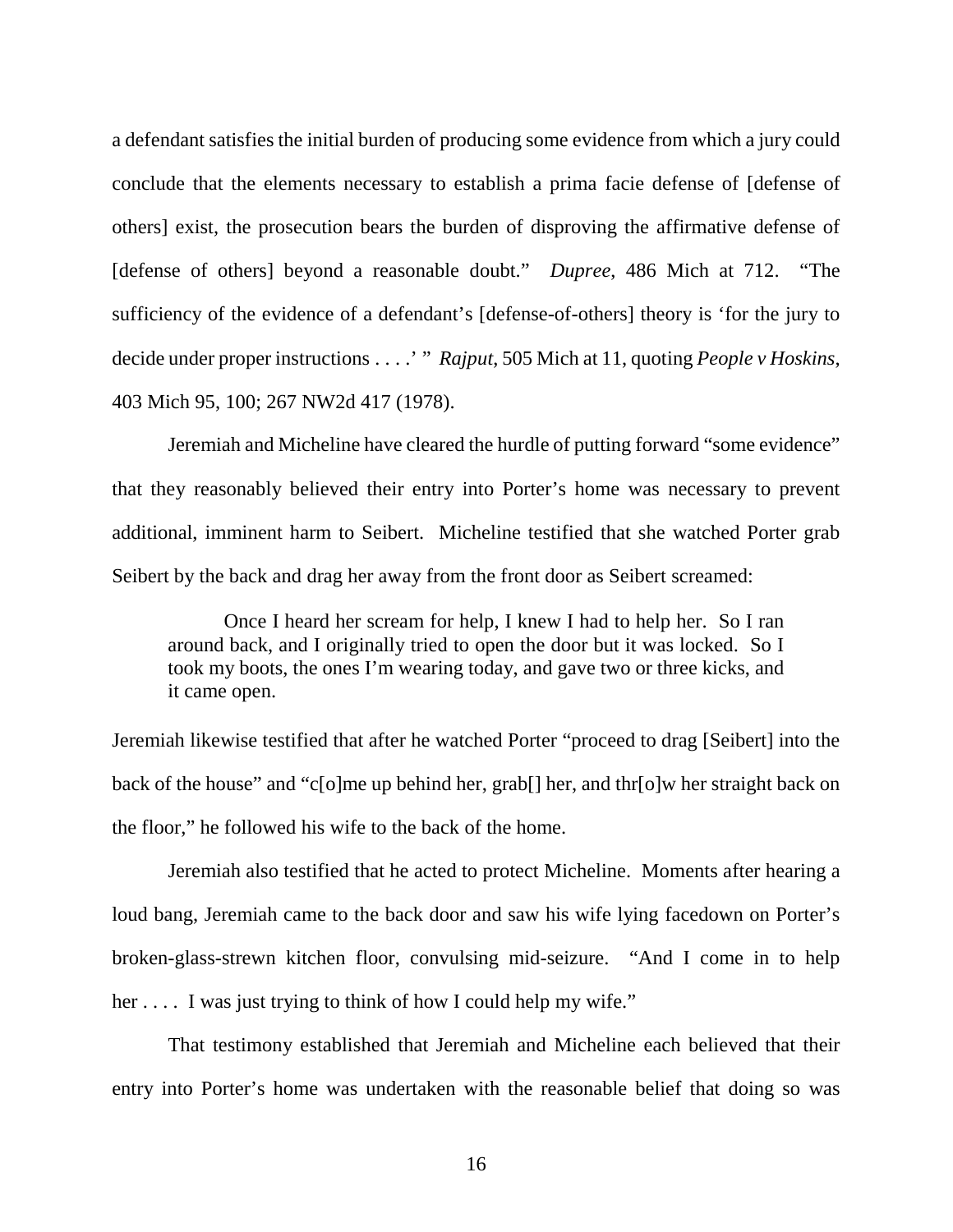a defendant satisfies the initial burden of producing some evidence from which a jury could conclude that the elements necessary to establish a prima facie defense of [defense of others] exist, the prosecution bears the burden of disproving the affirmative defense of [defense of others] beyond a reasonable doubt." *Dupree*, 486 Mich at 712. "The sufficiency of the evidence of a defendant's [defense-of-others] theory is 'for the jury to decide under proper instructions . . . .' " *Rajput*, 505 Mich at 11, quoting *People v Hoskins*, 403 Mich 95, 100; 267 NW2d 417 (1978).

Jeremiah and Micheline have cleared the hurdle of putting forward "some evidence" that they reasonably believed their entry into Porter's home was necessary to prevent additional, imminent harm to Seibert. Micheline testified that she watched Porter grab Seibert by the back and drag her away from the front door as Seibert screamed:

Once I heard her scream for help, I knew I had to help her. So I ran around back, and I originally tried to open the door but it was locked. So I took my boots, the ones I'm wearing today, and gave two or three kicks, and it came open.

Jeremiah likewise testified that after he watched Porter "proceed to drag [Seibert] into the back of the house" and "c[o]me up behind her, grab[] her, and thr[o]w her straight back on the floor," he followed his wife to the back of the home.

Jeremiah also testified that he acted to protect Micheline. Moments after hearing a loud bang, Jeremiah came to the back door and saw his wife lying facedown on Porter's broken-glass-strewn kitchen floor, convulsing mid-seizure. "And I come in to help her .... I was just trying to think of how I could help my wife."

That testimony established that Jeremiah and Micheline each believed that their entry into Porter's home was undertaken with the reasonable belief that doing so was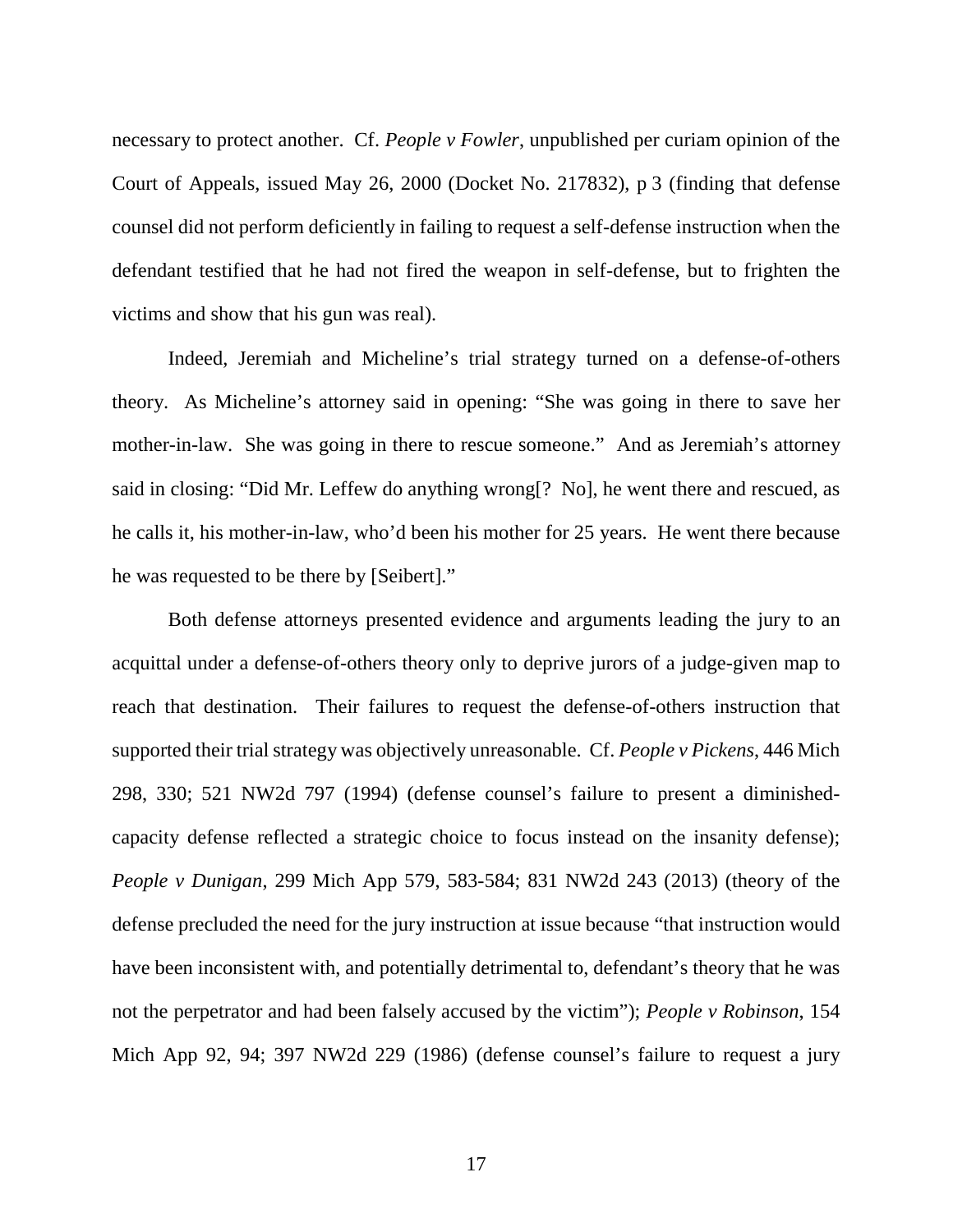necessary to protect another. Cf. *People v Fowler*, unpublished per curiam opinion of the Court of Appeals, issued May 26, 2000 (Docket No. 217832), p 3 (finding that defense counsel did not perform deficiently in failing to request a self-defense instruction when the defendant testified that he had not fired the weapon in self-defense, but to frighten the victims and show that his gun was real).

Indeed, Jeremiah and Micheline's trial strategy turned on a defense-of-others theory. As Micheline's attorney said in opening: "She was going in there to save her mother-in-law. She was going in there to rescue someone." And as Jeremiah's attorney said in closing: "Did Mr. Leffew do anything wrong[? No], he went there and rescued, as he calls it, his mother-in-law, who'd been his mother for 25 years. He went there because he was requested to be there by [Seibert]."

Both defense attorneys presented evidence and arguments leading the jury to an acquittal under a defense-of-others theory only to deprive jurors of a judge-given map to reach that destination. Their failures to request the defense-of-others instruction that supported their trial strategy was objectively unreasonable. Cf. *People v Pickens*, 446 Mich 298, 330; 521 NW2d 797 (1994) (defense counsel's failure to present a diminishedcapacity defense reflected a strategic choice to focus instead on the insanity defense); *People v Dunigan*, 299 Mich App 579, 583-584; 831 NW2d 243 (2013) (theory of the defense precluded the need for the jury instruction at issue because "that instruction would have been inconsistent with, and potentially detrimental to, defendant's theory that he was not the perpetrator and had been falsely accused by the victim"); *People v Robinson*, 154 Mich App 92, 94; 397 NW2d 229 (1986) (defense counsel's failure to request a jury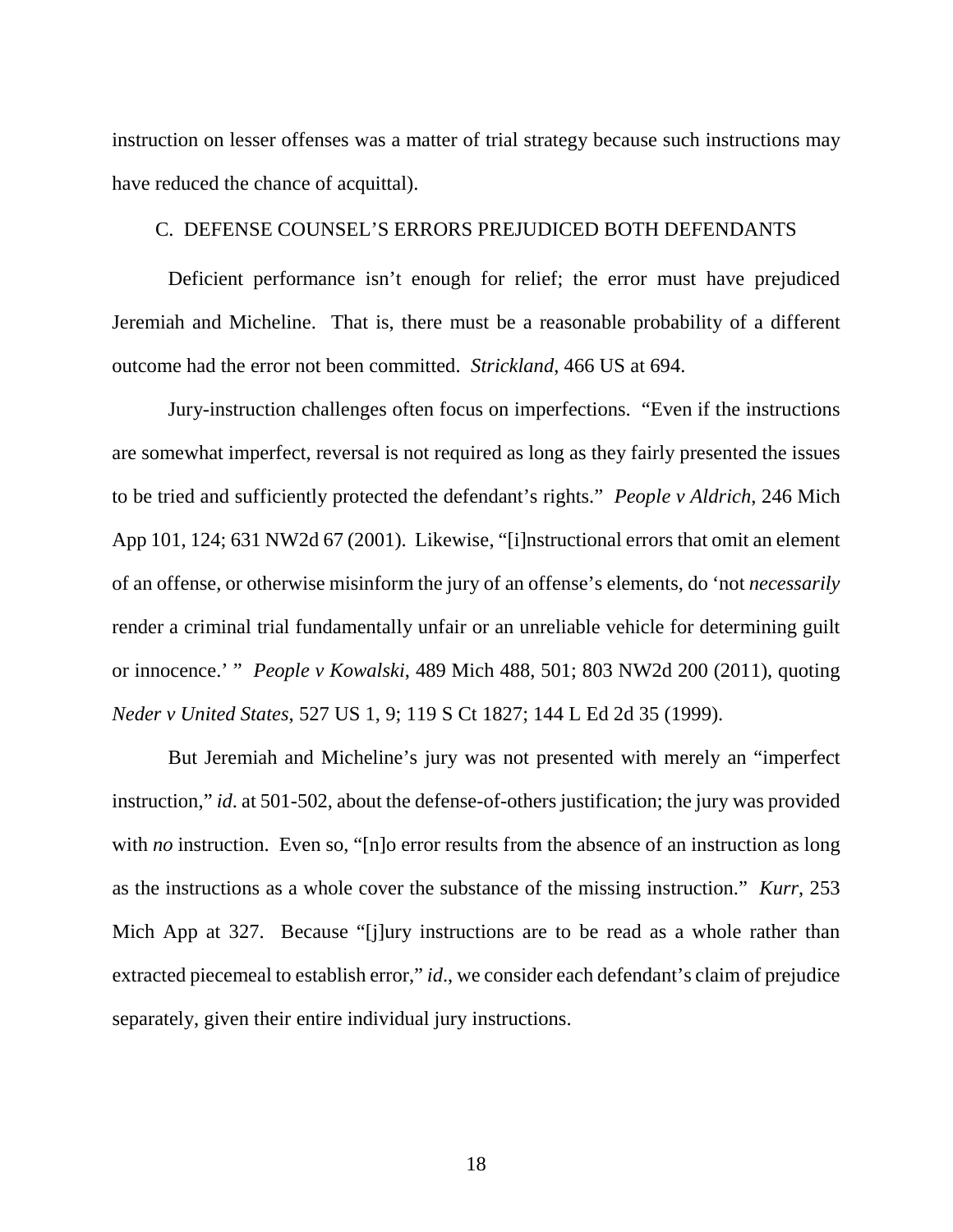instruction on lesser offenses was a matter of trial strategy because such instructions may have reduced the chance of acquittal).

#### C. DEFENSE COUNSEL'S ERRORS PREJUDICED BOTH DEFENDANTS

Deficient performance isn't enough for relief; the error must have prejudiced Jeremiah and Micheline. That is, there must be a reasonable probability of a different outcome had the error not been committed. *Strickland*, 466 US at 694.

Jury-instruction challenges often focus on imperfections. "Even if the instructions are somewhat imperfect, reversal is not required as long as they fairly presented the issues to be tried and sufficiently protected the defendant's rights." *People v Aldrich*, 246 Mich App 101, 124; 631 NW2d 67 (2001). Likewise, "[i]nstructional errors that omit an element of an offense, or otherwise misinform the jury of an offense's elements, do 'not *necessarily* render a criminal trial fundamentally unfair or an unreliable vehicle for determining guilt or innocence.' " *People v Kowalski*, 489 Mich 488, 501; 803 NW2d 200 (2011), quoting *Neder v United States*, 527 US 1, 9; 119 S Ct 1827; 144 L Ed 2d 35 (1999).

But Jeremiah and Micheline's jury was not presented with merely an "imperfect instruction," *id*. at 501-502, about the defense-of-others justification; the jury was provided with *no* instruction. Even so, "[n]o error results from the absence of an instruction as long as the instructions as a whole cover the substance of the missing instruction." *Kurr*, 253 Mich App at 327. Because "[j]ury instructions are to be read as a whole rather than extracted piecemeal to establish error," *id*., we consider each defendant's claim of prejudice separately, given their entire individual jury instructions.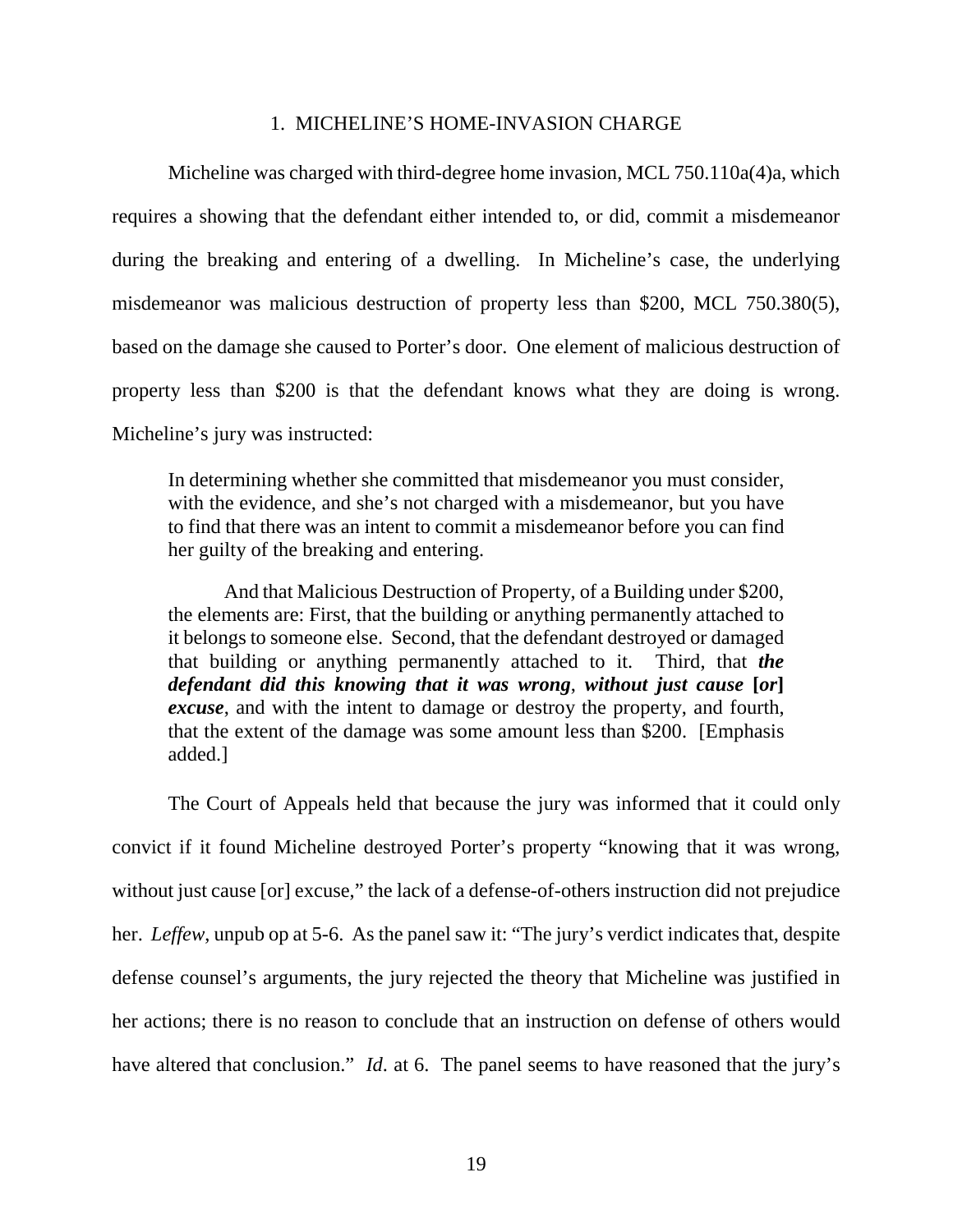#### 1. MICHELINE'S HOME-INVASION CHARGE

Micheline was charged with third-degree home invasion, MCL 750.110a(4)a, which requires a showing that the defendant either intended to, or did, commit a misdemeanor during the breaking and entering of a dwelling. In Micheline's case, the underlying misdemeanor was malicious destruction of property less than \$200, MCL 750.380(5), based on the damage she caused to Porter's door. One element of malicious destruction of property less than \$200 is that the defendant knows what they are doing is wrong. Micheline's jury was instructed:

In determining whether she committed that misdemeanor you must consider, with the evidence, and she's not charged with a misdemeanor, but you have to find that there was an intent to commit a misdemeanor before you can find her guilty of the breaking and entering.

And that Malicious Destruction of Property, of a Building under \$200, the elements are: First, that the building or anything permanently attached to it belongs to someone else. Second, that the defendant destroyed or damaged that building or anything permanently attached to it. Third, that *the defendant did this knowing that it was wrong*, *without just cause* **[***or***]**  *excuse*, and with the intent to damage or destroy the property, and fourth, that the extent of the damage was some amount less than \$200. [Emphasis added.]

The Court of Appeals held that because the jury was informed that it could only convict if it found Micheline destroyed Porter's property "knowing that it was wrong, without just cause [or] excuse," the lack of a defense-of-others instruction did not prejudice her. *Leffew*, unpub op at 5-6. As the panel saw it: "The jury's verdict indicates that, despite defense counsel's arguments, the jury rejected the theory that Micheline was justified in her actions; there is no reason to conclude that an instruction on defense of others would have altered that conclusion." *Id*. at 6. The panel seems to have reasoned that the jury's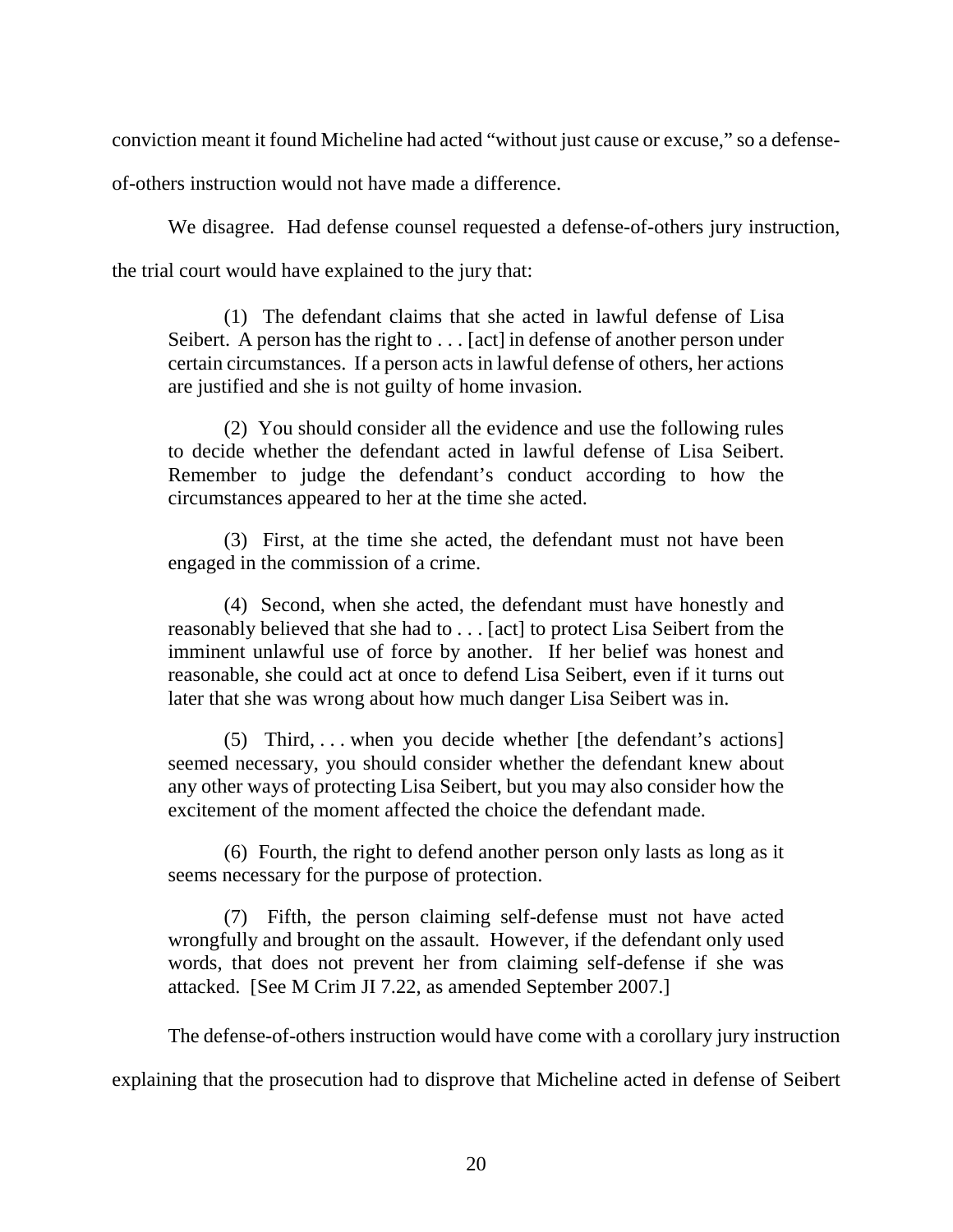conviction meant it found Micheline had acted "without just cause or excuse," so a defense-

of-others instruction would not have made a difference.

We disagree. Had defense counsel requested a defense-of-others jury instruction, the trial court would have explained to the jury that:

(1) The defendant claims that she acted in lawful defense of Lisa Seibert. A person has the right to . . . [act] in defense of another person under certain circumstances. If a person acts in lawful defense of others, her actions are justified and she is not guilty of home invasion.

(2) You should consider all the evidence and use the following rules to decide whether the defendant acted in lawful defense of Lisa Seibert. Remember to judge the defendant's conduct according to how the circumstances appeared to her at the time she acted.

(3) First, at the time she acted, the defendant must not have been engaged in the commission of a crime.

(4) Second, when she acted, the defendant must have honestly and reasonably believed that she had to . . . [act] to protect Lisa Seibert from the imminent unlawful use of force by another. If her belief was honest and reasonable, she could act at once to defend Lisa Seibert, even if it turns out later that she was wrong about how much danger Lisa Seibert was in.

(5) Third, . . . when you decide whether [the defendant's actions] seemed necessary, you should consider whether the defendant knew about any other ways of protecting Lisa Seibert, but you may also consider how the excitement of the moment affected the choice the defendant made.

(6) Fourth, the right to defend another person only lasts as long as it seems necessary for the purpose of protection.

(7) Fifth, the person claiming self-defense must not have acted wrongfully and brought on the assault. However, if the defendant only used words, that does not prevent her from claiming self-defense if she was attacked. [See M Crim JI 7.22, as amended September 2007.]

The defense-of-others instruction would have come with a corollary jury instruction

explaining that the prosecution had to disprove that Micheline acted in defense of Seibert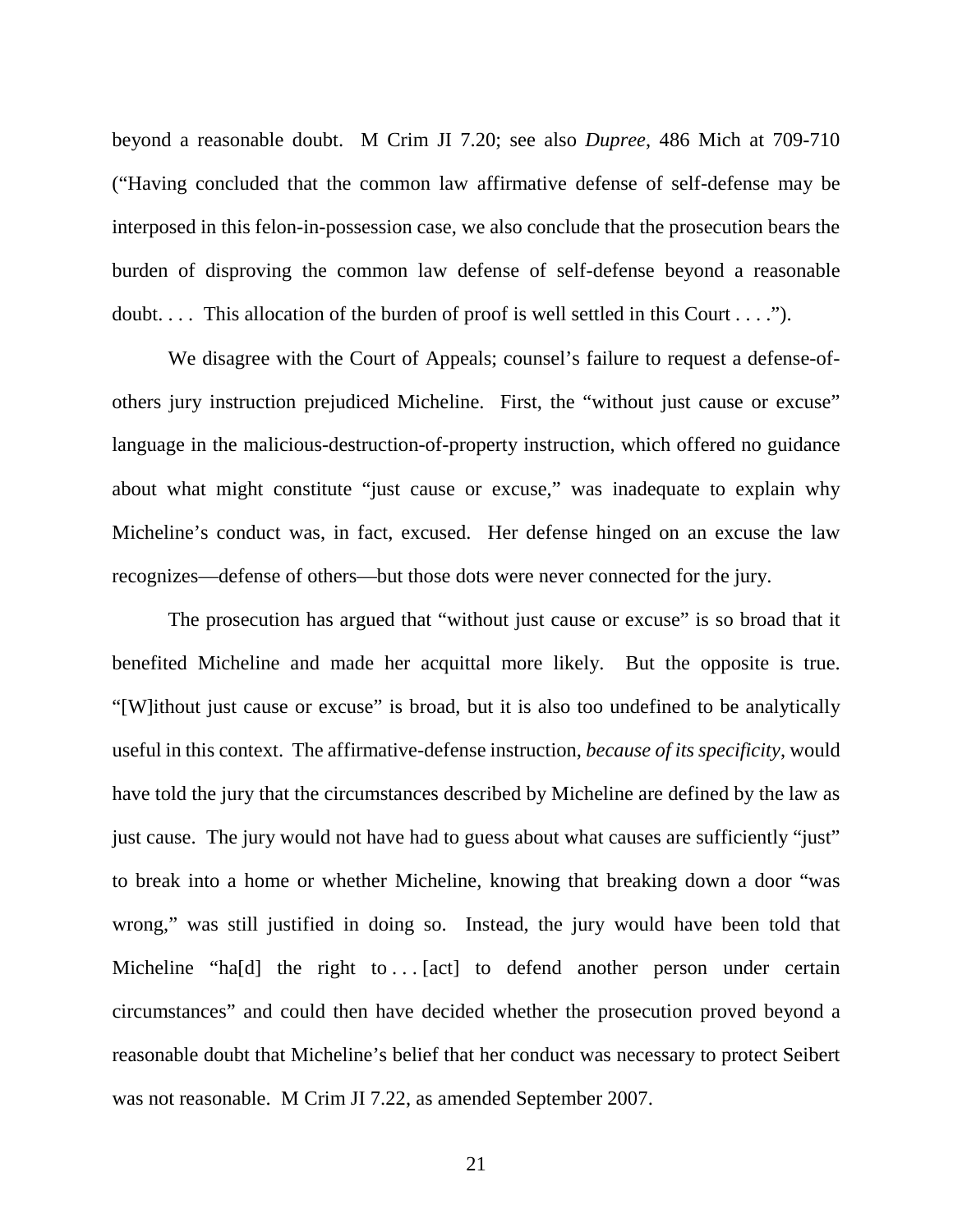beyond a reasonable doubt. M Crim JI 7.20; see also *Dupree*, 486 Mich at 709-710 ("Having concluded that the common law affirmative defense of self-defense may be interposed in this felon-in-possession case, we also conclude that the prosecution bears the burden of disproving the common law defense of self-defense beyond a reasonable doubt.... This allocation of the burden of proof is well settled in this Court  $\dots$ ...").

We disagree with the Court of Appeals; counsel's failure to request a defense-ofothers jury instruction prejudiced Micheline. First, the "without just cause or excuse" language in the malicious-destruction-of-property instruction, which offered no guidance about what might constitute "just cause or excuse," was inadequate to explain why Micheline's conduct was, in fact, excused. Her defense hinged on an excuse the law recognizes—defense of others—but those dots were never connected for the jury.

The prosecution has argued that "without just cause or excuse" is so broad that it benefited Micheline and made her acquittal more likely. But the opposite is true. "[W]ithout just cause or excuse" is broad, but it is also too undefined to be analytically useful in this context. The affirmative-defense instruction, *because of its specificity*, would have told the jury that the circumstances described by Micheline are defined by the law as just cause. The jury would not have had to guess about what causes are sufficiently "just" to break into a home or whether Micheline, knowing that breaking down a door "was wrong," was still justified in doing so. Instead, the jury would have been told that Micheline "ha[d] the right to ... [act] to defend another person under certain circumstances" and could then have decided whether the prosecution proved beyond a reasonable doubt that Micheline's belief that her conduct was necessary to protect Seibert was not reasonable. M Crim JI 7.22, as amended September 2007.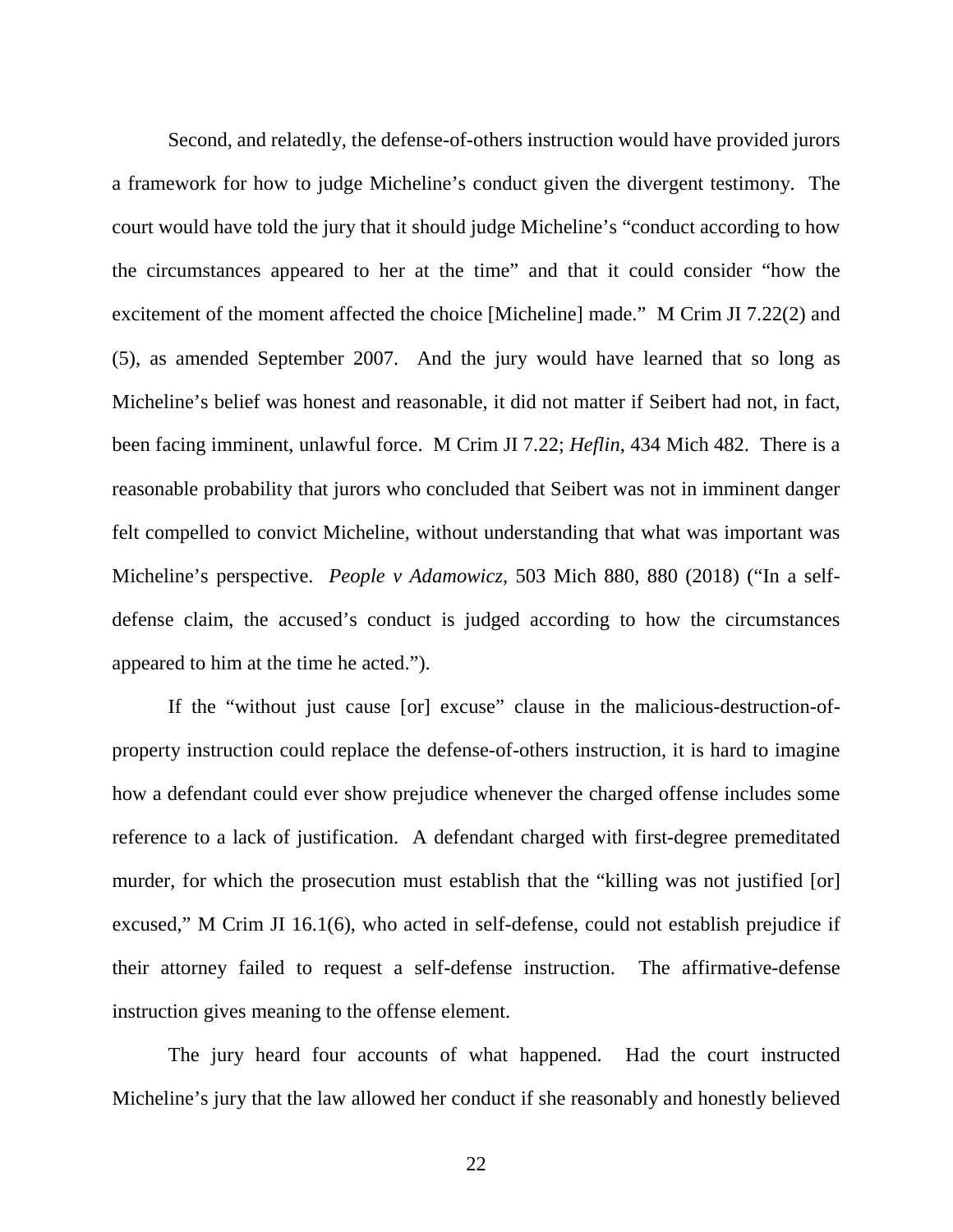Second, and relatedly, the defense-of-others instruction would have provided jurors a framework for how to judge Micheline's conduct given the divergent testimony. The court would have told the jury that it should judge Micheline's "conduct according to how the circumstances appeared to her at the time" and that it could consider "how the excitement of the moment affected the choice [Micheline] made." M Crim JI 7.22(2) and (5), as amended September 2007. And the jury would have learned that so long as Micheline's belief was honest and reasonable, it did not matter if Seibert had not, in fact, been facing imminent, unlawful force. M Crim JI 7.22; *Heflin*, 434 Mich 482. There is a reasonable probability that jurors who concluded that Seibert was not in imminent danger felt compelled to convict Micheline, without understanding that what was important was Micheline's perspective. *People v Adamowicz*, 503 Mich 880, 880 (2018) ("In a selfdefense claim, the accused's conduct is judged according to how the circumstances appeared to him at the time he acted.").

If the "without just cause [or] excuse" clause in the malicious-destruction-ofproperty instruction could replace the defense-of-others instruction, it is hard to imagine how a defendant could ever show prejudice whenever the charged offense includes some reference to a lack of justification. A defendant charged with first-degree premeditated murder, for which the prosecution must establish that the "killing was not justified [or] excused," M Crim JI 16.1(6), who acted in self-defense, could not establish prejudice if their attorney failed to request a self-defense instruction. The affirmative-defense instruction gives meaning to the offense element.

The jury heard four accounts of what happened. Had the court instructed Micheline's jury that the law allowed her conduct if she reasonably and honestly believed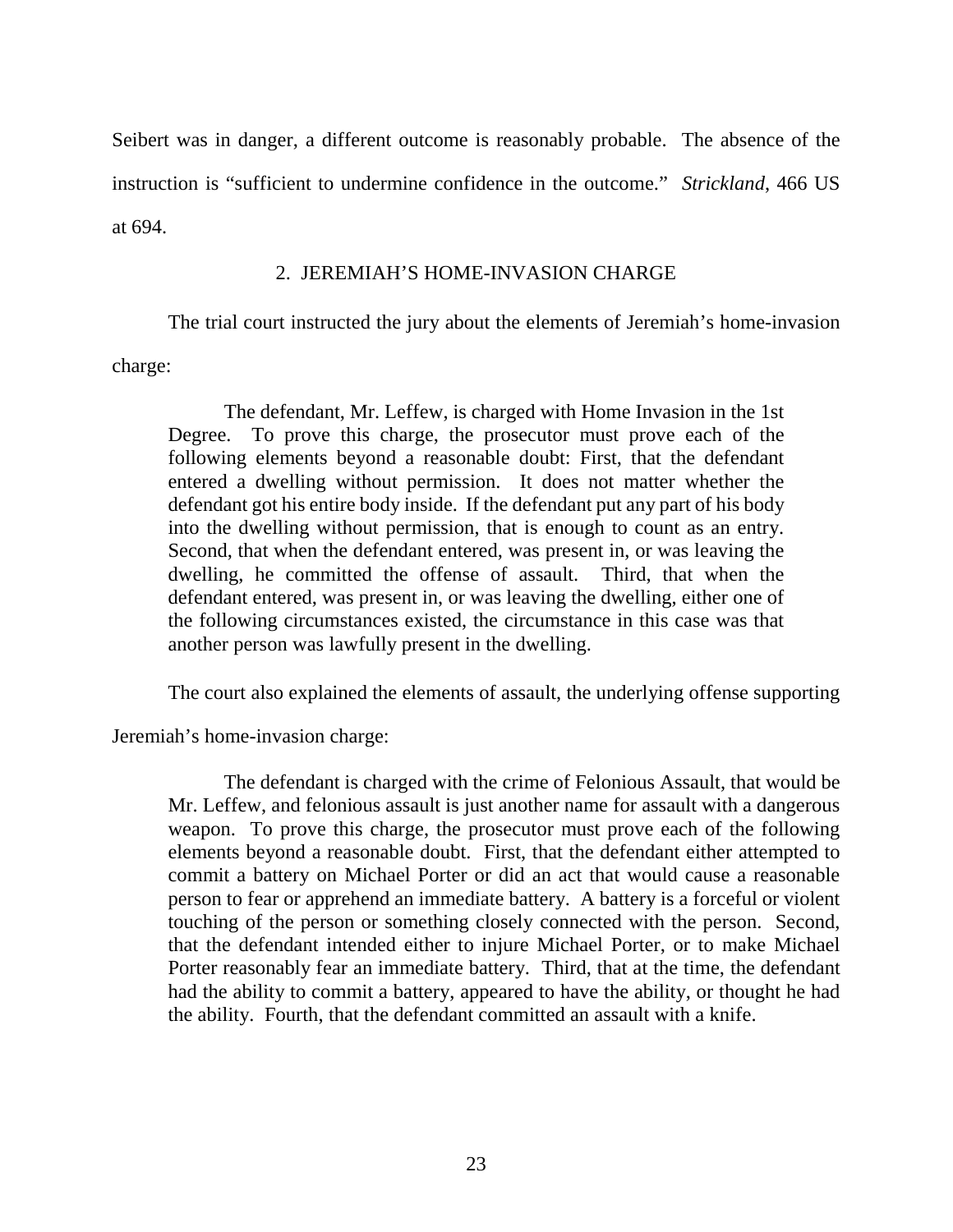Seibert was in danger, a different outcome is reasonably probable. The absence of the instruction is "sufficient to undermine confidence in the outcome." *Strickland*, 466 US at 694.

#### 2. JEREMIAH'S HOME-INVASION CHARGE

The trial court instructed the jury about the elements of Jeremiah's home-invasion

charge:

The defendant, Mr. Leffew, is charged with Home Invasion in the 1st Degree. To prove this charge, the prosecutor must prove each of the following elements beyond a reasonable doubt: First, that the defendant entered a dwelling without permission. It does not matter whether the defendant got his entire body inside. If the defendant put any part of his body into the dwelling without permission, that is enough to count as an entry. Second, that when the defendant entered, was present in, or was leaving the dwelling, he committed the offense of assault. Third, that when the defendant entered, was present in, or was leaving the dwelling, either one of the following circumstances existed, the circumstance in this case was that another person was lawfully present in the dwelling.

The court also explained the elements of assault, the underlying offense supporting

Jeremiah's home-invasion charge:

The defendant is charged with the crime of Felonious Assault, that would be Mr. Leffew, and felonious assault is just another name for assault with a dangerous weapon. To prove this charge, the prosecutor must prove each of the following elements beyond a reasonable doubt. First, that the defendant either attempted to commit a battery on Michael Porter or did an act that would cause a reasonable person to fear or apprehend an immediate battery. A battery is a forceful or violent touching of the person or something closely connected with the person. Second, that the defendant intended either to injure Michael Porter, or to make Michael Porter reasonably fear an immediate battery. Third, that at the time, the defendant had the ability to commit a battery, appeared to have the ability, or thought he had the ability. Fourth, that the defendant committed an assault with a knife.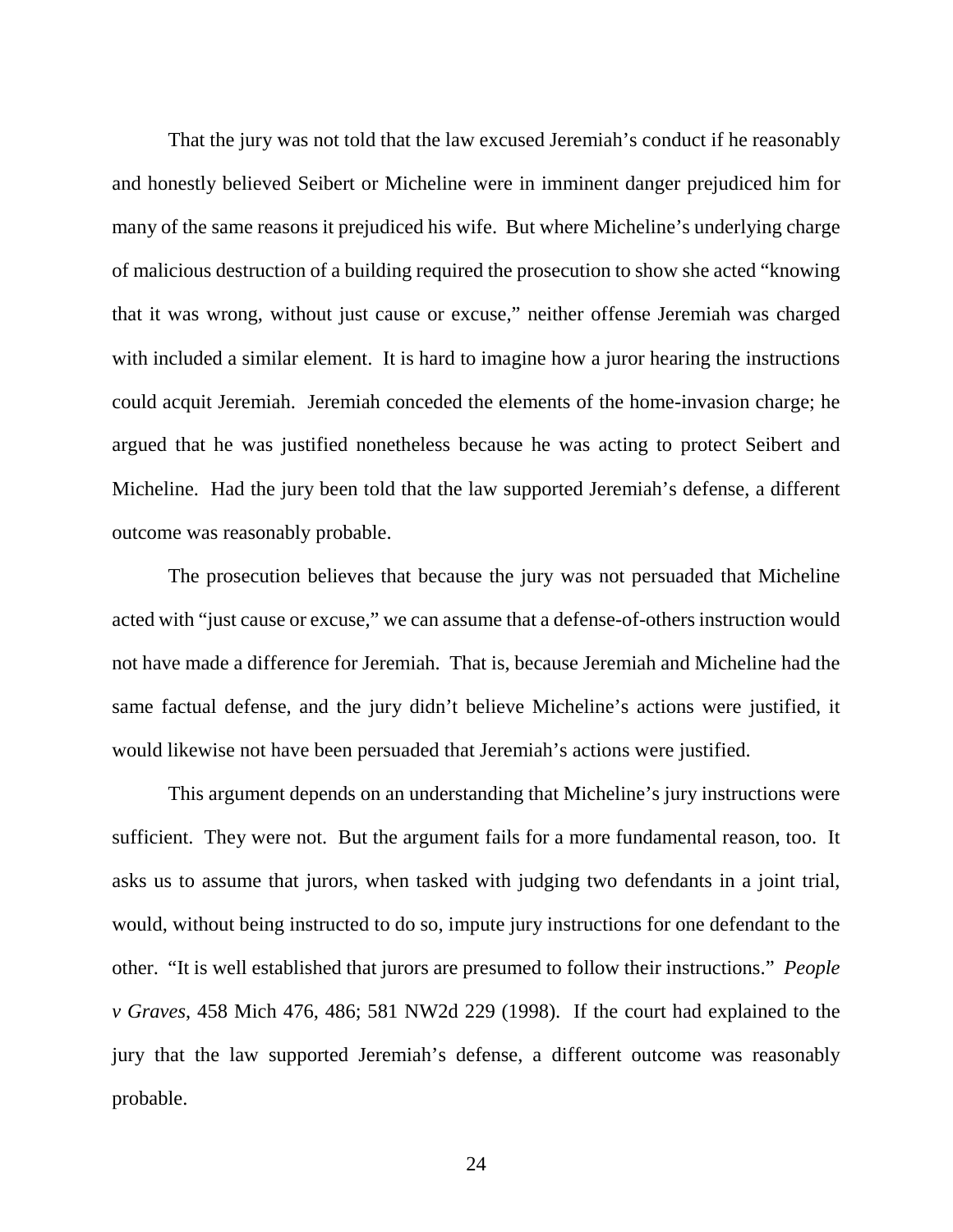That the jury was not told that the law excused Jeremiah's conduct if he reasonably and honestly believed Seibert or Micheline were in imminent danger prejudiced him for many of the same reasons it prejudiced his wife. But where Micheline's underlying charge of malicious destruction of a building required the prosecution to show she acted "knowing that it was wrong, without just cause or excuse," neither offense Jeremiah was charged with included a similar element. It is hard to imagine how a juror hearing the instructions could acquit Jeremiah. Jeremiah conceded the elements of the home-invasion charge; he argued that he was justified nonetheless because he was acting to protect Seibert and Micheline. Had the jury been told that the law supported Jeremiah's defense, a different outcome was reasonably probable.

The prosecution believes that because the jury was not persuaded that Micheline acted with "just cause or excuse," we can assume that a defense-of-others instruction would not have made a difference for Jeremiah. That is, because Jeremiah and Micheline had the same factual defense, and the jury didn't believe Micheline's actions were justified, it would likewise not have been persuaded that Jeremiah's actions were justified.

This argument depends on an understanding that Micheline's jury instructions were sufficient. They were not. But the argument fails for a more fundamental reason, too. It asks us to assume that jurors, when tasked with judging two defendants in a joint trial, would, without being instructed to do so, impute jury instructions for one defendant to the other. "It is well established that jurors are presumed to follow their instructions." *People v Graves*, 458 Mich 476, 486; 581 NW2d 229 (1998). If the court had explained to the jury that the law supported Jeremiah's defense, a different outcome was reasonably probable.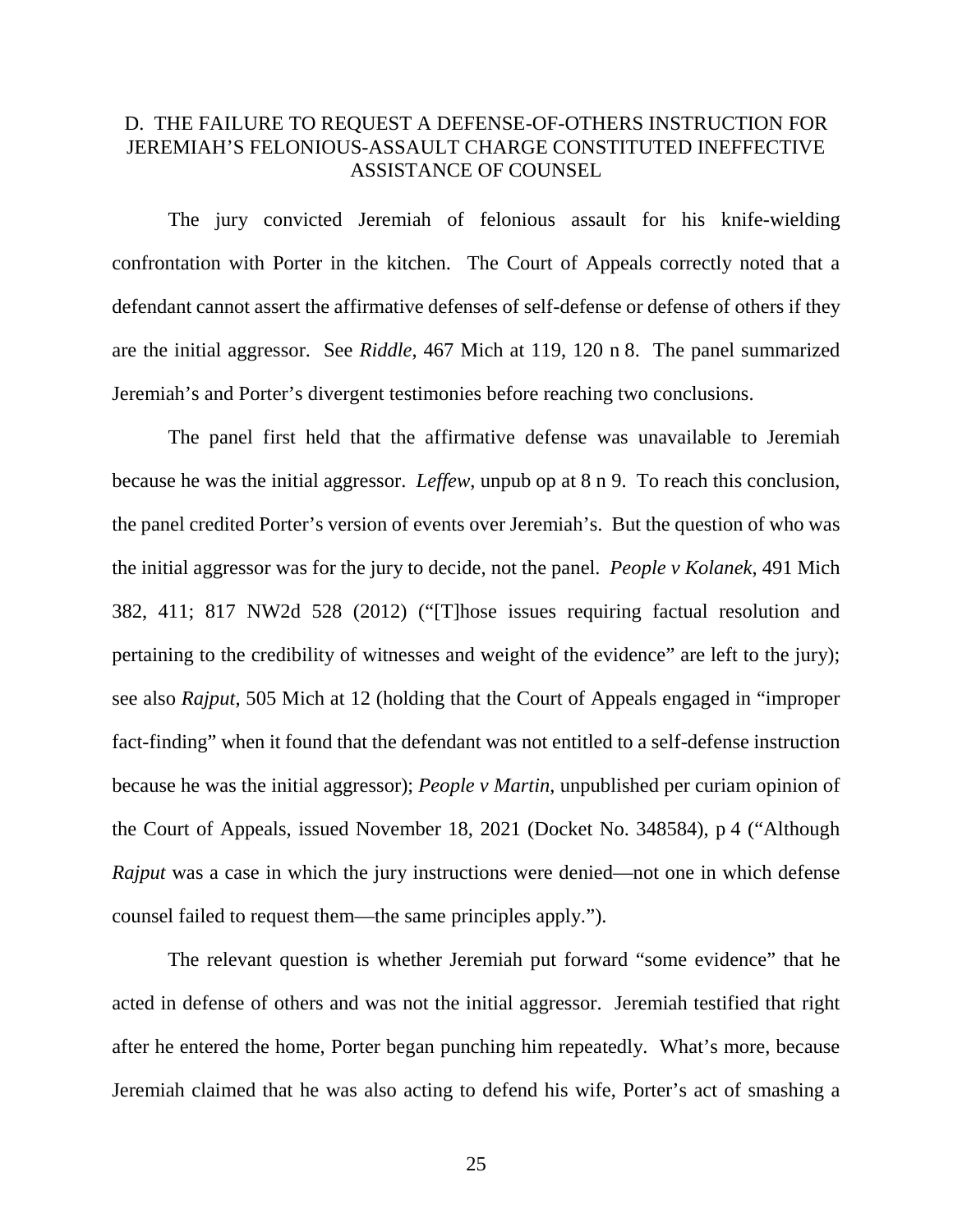## D. THE FAILURE TO REQUEST A DEFENSE-OF-OTHERS INSTRUCTION FOR JEREMIAH'S FELONIOUS-ASSAULT CHARGE CONSTITUTED INEFFECTIVE ASSISTANCE OF COUNSEL

The jury convicted Jeremiah of felonious assault for his knife-wielding confrontation with Porter in the kitchen. The Court of Appeals correctly noted that a defendant cannot assert the affirmative defenses of self-defense or defense of others if they are the initial aggressor. See *Riddle*, 467 Mich at 119, 120 n 8. The panel summarized Jeremiah's and Porter's divergent testimonies before reaching two conclusions.

The panel first held that the affirmative defense was unavailable to Jeremiah because he was the initial aggressor. *Leffew*, unpub op at 8 n 9. To reach this conclusion, the panel credited Porter's version of events over Jeremiah's. But the question of who was the initial aggressor was for the jury to decide, not the panel. *People v Kolanek*, 491 Mich 382, 411; 817 NW2d 528 (2012) ("[T]hose issues requiring factual resolution and pertaining to the credibility of witnesses and weight of the evidence" are left to the jury); see also *Rajput*, 505 Mich at 12 (holding that the Court of Appeals engaged in "improper fact-finding" when it found that the defendant was not entitled to a self-defense instruction because he was the initial aggressor); *People v Martin*, unpublished per curiam opinion of the Court of Appeals, issued November 18, 2021 (Docket No. 348584), p 4 ("Although *Rajput* was a case in which the jury instructions were denied—not one in which defense counsel failed to request them—the same principles apply.").

The relevant question is whether Jeremiah put forward "some evidence" that he acted in defense of others and was not the initial aggressor. Jeremiah testified that right after he entered the home, Porter began punching him repeatedly. What's more, because Jeremiah claimed that he was also acting to defend his wife, Porter's act of smashing a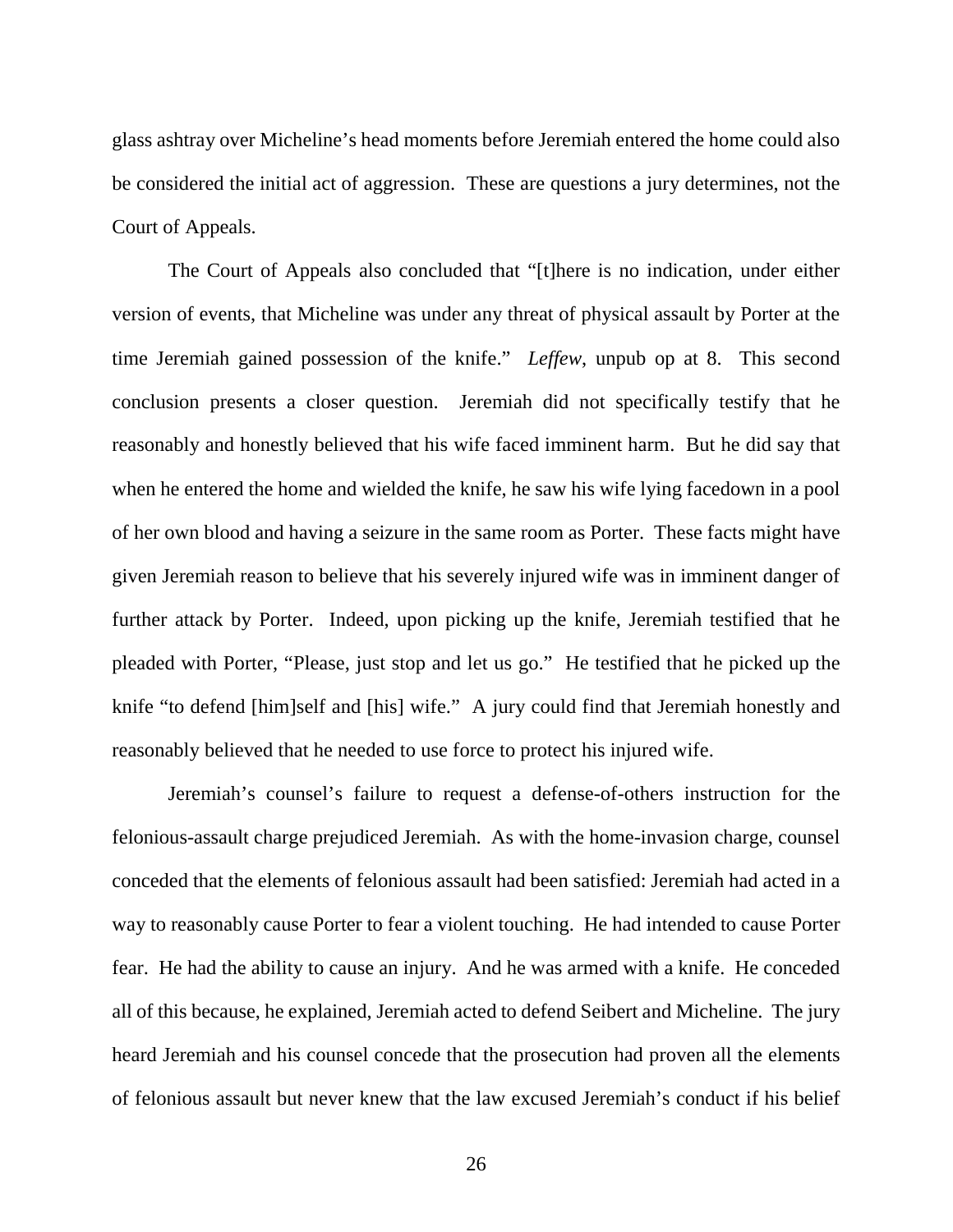glass ashtray over Micheline's head moments before Jeremiah entered the home could also be considered the initial act of aggression. These are questions a jury determines, not the Court of Appeals.

The Court of Appeals also concluded that "[t]here is no indication, under either version of events, that Micheline was under any threat of physical assault by Porter at the time Jeremiah gained possession of the knife." *Leffew*, unpub op at 8. This second conclusion presents a closer question. Jeremiah did not specifically testify that he reasonably and honestly believed that his wife faced imminent harm. But he did say that when he entered the home and wielded the knife, he saw his wife lying facedown in a pool of her own blood and having a seizure in the same room as Porter. These facts might have given Jeremiah reason to believe that his severely injured wife was in imminent danger of further attack by Porter. Indeed, upon picking up the knife, Jeremiah testified that he pleaded with Porter, "Please, just stop and let us go." He testified that he picked up the knife "to defend [him]self and [his] wife." A jury could find that Jeremiah honestly and reasonably believed that he needed to use force to protect his injured wife.

Jeremiah's counsel's failure to request a defense-of-others instruction for the felonious-assault charge prejudiced Jeremiah. As with the home-invasion charge, counsel conceded that the elements of felonious assault had been satisfied: Jeremiah had acted in a way to reasonably cause Porter to fear a violent touching. He had intended to cause Porter fear. He had the ability to cause an injury. And he was armed with a knife. He conceded all of this because, he explained, Jeremiah acted to defend Seibert and Micheline. The jury heard Jeremiah and his counsel concede that the prosecution had proven all the elements of felonious assault but never knew that the law excused Jeremiah's conduct if his belief